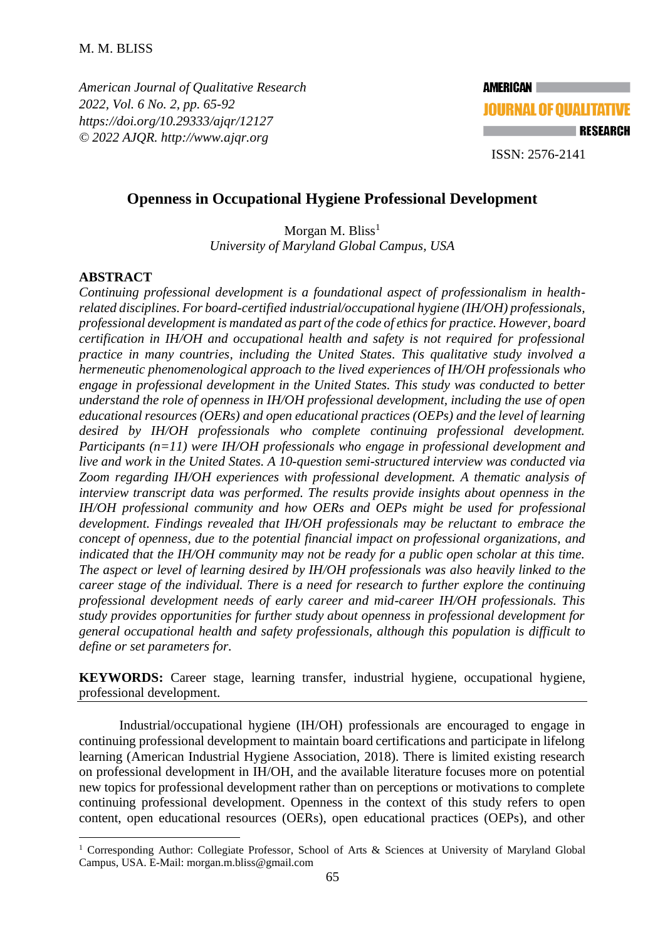*American Journal of Qualitative Research 2022, Vol. 6 No. 2, pp. 65-92 <https://doi.org/10.29333/ajqr/12127> © 2022 AJQR. http://www.ajqr.org*



# **Openness in Occupational Hygiene Professional Development**

Morgan M. Bliss<sup>1</sup> *University of Maryland Global Campus, USA*

# **ABSTRACT**

*Continuing professional development is a foundational aspect of professionalism in healthrelated disciplines. For board-certified industrial/occupational hygiene (IH/OH) professionals, professional development is mandated as part of the code of ethics for practice. However, board certification in IH/OH and occupational health and safety is not required for professional practice in many countries, including the United States. This qualitative study involved a hermeneutic phenomenological approach to the lived experiences of IH/OH professionals who engage in professional development in the United States. This study was conducted to better understand the role of openness in IH/OH professional development, including the use of open educational resources (OERs) and open educational practices (OEPs) and the level of learning desired by IH/OH professionals who complete continuing professional development. Participants (n=11) were IH/OH professionals who engage in professional development and live and work in the United States. A 10-question semi-structured interview was conducted via Zoom regarding IH/OH experiences with professional development. A thematic analysis of interview transcript data was performed. The results provide insights about openness in the IH/OH professional community and how OERs and OEPs might be used for professional development. Findings revealed that IH/OH professionals may be reluctant to embrace the concept of openness, due to the potential financial impact on professional organizations, and indicated that the IH/OH community may not be ready for a public open scholar at this time. The aspect or level of learning desired by IH/OH professionals was also heavily linked to the career stage of the individual. There is a need for research to further explore the continuing professional development needs of early career and mid-career IH/OH professionals. This study provides opportunities for further study about openness in professional development for general occupational health and safety professionals, although this population is difficult to define or set parameters for.*

**KEYWORDS:** Career stage, learning transfer, industrial hygiene, occupational hygiene, professional development.

Industrial/occupational hygiene (IH/OH) professionals are encouraged to engage in continuing professional development to maintain board certifications and participate in lifelong learning (American Industrial Hygiene Association, 2018). There is limited existing research on professional development in IH/OH, and the available literature focuses more on potential new topics for professional development rather than on perceptions or motivations to complete continuing professional development. Openness in the context of this study refers to open content, open educational resources (OERs), open educational practices (OEPs), and other

<sup>&</sup>lt;sup>1</sup> Corresponding Author: Collegiate Professor, School of Arts & Sciences at University of Maryland Global Campus, USA. E-Mail: morgan.m.bliss@gmail.com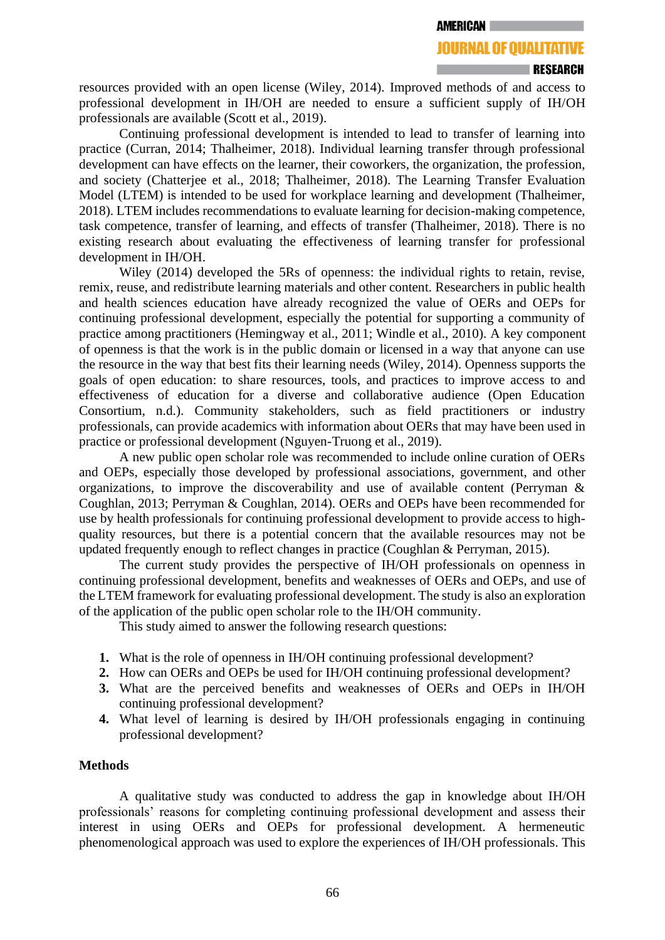# **JOURNAL OF QUALITATIVE**

resources provided with an open license (Wiley, 2014). Improved methods of and access to professional development in IH/OH are needed to ensure a sufficient supply of IH/OH professionals are available (Scott et al., 2019).

Continuing professional development is intended to lead to transfer of learning into practice (Curran, 2014; Thalheimer, 2018). Individual learning transfer through professional development can have effects on the learner, their coworkers, the organization, the profession, and society (Chatterjee et al., 2018; Thalheimer, 2018). The Learning Transfer Evaluation Model (LTEM) is intended to be used for workplace learning and development (Thalheimer, 2018). LTEM includes recommendations to evaluate learning for decision-making competence, task competence, transfer of learning, and effects of transfer (Thalheimer, 2018). There is no existing research about evaluating the effectiveness of learning transfer for professional development in IH/OH.

Wiley (2014) developed the 5Rs of openness: the individual rights to retain, revise, remix, reuse, and redistribute learning materials and other content. Researchers in public health and health sciences education have already recognized the value of OERs and OEPs for continuing professional development, especially the potential for supporting a community of practice among practitioners (Hemingway et al., 2011; Windle et al., 2010). A key component of openness is that the work is in the public domain or licensed in a way that anyone can use the resource in the way that best fits their learning needs (Wiley, 2014). Openness supports the goals of open education: to share resources, tools, and practices to improve access to and effectiveness of education for a diverse and collaborative audience (Open Education Consortium, n.d.). Community stakeholders, such as field practitioners or industry professionals, can provide academics with information about OERs that may have been used in practice or professional development (Nguyen-Truong et al., 2019).

A new public open scholar role was recommended to include online curation of OERs and OEPs, especially those developed by professional associations, government, and other organizations, to improve the discoverability and use of available content (Perryman & Coughlan, 2013; Perryman & Coughlan, 2014). OERs and OEPs have been recommended for use by health professionals for continuing professional development to provide access to highquality resources, but there is a potential concern that the available resources may not be updated frequently enough to reflect changes in practice (Coughlan & Perryman, 2015).

The current study provides the perspective of IH/OH professionals on openness in continuing professional development, benefits and weaknesses of OERs and OEPs, and use of the LTEM framework for evaluating professional development. The study is also an exploration of the application of the public open scholar role to the IH/OH community.

This study aimed to answer the following research questions:

- **1.** What is the role of openness in IH/OH continuing professional development?
- **2.** How can OERs and OEPs be used for IH/OH continuing professional development?
- **3.** What are the perceived benefits and weaknesses of OERs and OEPs in IH/OH continuing professional development?
- **4.** What level of learning is desired by IH/OH professionals engaging in continuing professional development?

# **Methods**

A qualitative study was conducted to address the gap in knowledge about IH/OH professionals' reasons for completing continuing professional development and assess their interest in using OERs and OEPs for professional development. A hermeneutic phenomenological approach was used to explore the experiences of IH/OH professionals. This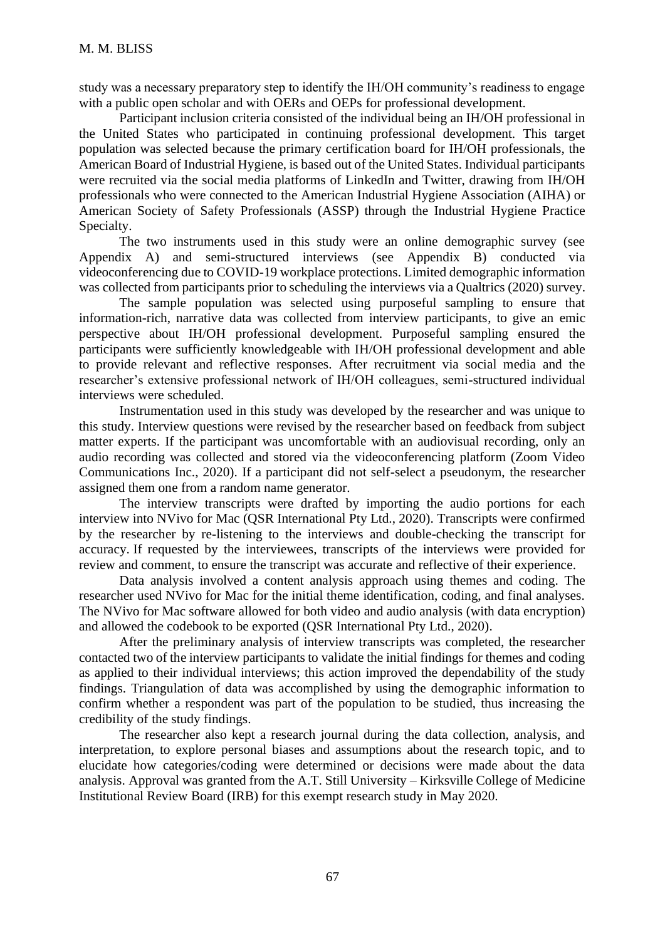study was a necessary preparatory step to identify the IH/OH community's readiness to engage with a public open scholar and with OERs and OEPs for professional development.

Participant inclusion criteria consisted of the individual being an IH/OH professional in the United States who participated in continuing professional development. This target population was selected because the primary certification board for IH/OH professionals, the American Board of Industrial Hygiene, is based out of the United States. Individual participants were recruited via the social media platforms of LinkedIn and Twitter, drawing from IH/OH professionals who were connected to the American Industrial Hygiene Association (AIHA) or American Society of Safety Professionals (ASSP) through the Industrial Hygiene Practice Specialty.

The two instruments used in this study were an online demographic survey (see Appendix A) and semi-structured interviews (see Appendix B) conducted via videoconferencing due to COVID-19 workplace protections. Limited demographic information was collected from participants prior to scheduling the interviews via a Qualtrics (2020) survey.

The sample population was selected using purposeful sampling to ensure that information-rich, narrative data was collected from interview participants, to give an emic perspective about IH/OH professional development. Purposeful sampling ensured the participants were sufficiently knowledgeable with IH/OH professional development and able to provide relevant and reflective responses. After recruitment via social media and the researcher's extensive professional network of IH/OH colleagues, semi-structured individual interviews were scheduled.

Instrumentation used in this study was developed by the researcher and was unique to this study. Interview questions were revised by the researcher based on feedback from subject matter experts. If the participant was uncomfortable with an audiovisual recording, only an audio recording was collected and stored via the videoconferencing platform (Zoom Video Communications Inc., 2020). If a participant did not self-select a pseudonym, the researcher assigned them one from a random name generator.

The interview transcripts were drafted by importing the audio portions for each interview into NVivo for Mac (QSR International Pty Ltd., 2020). Transcripts were confirmed by the researcher by re-listening to the interviews and double-checking the transcript for accuracy. If requested by the interviewees, transcripts of the interviews were provided for review and comment, to ensure the transcript was accurate and reflective of their experience.

Data analysis involved a content analysis approach using themes and coding. The researcher used NVivo for Mac for the initial theme identification, coding, and final analyses. The NVivo for Mac software allowed for both video and audio analysis (with data encryption) and allowed the codebook to be exported (QSR International Pty Ltd., 2020).

After the preliminary analysis of interview transcripts was completed, the researcher contacted two of the interview participants to validate the initial findings for themes and coding as applied to their individual interviews; this action improved the dependability of the study findings. Triangulation of data was accomplished by using the demographic information to confirm whether a respondent was part of the population to be studied, thus increasing the credibility of the study findings.

The researcher also kept a research journal during the data collection, analysis, and interpretation, to explore personal biases and assumptions about the research topic, and to elucidate how categories/coding were determined or decisions were made about the data analysis. Approval was granted from the A.T. Still University – Kirksville College of Medicine Institutional Review Board (IRB) for this exempt research study in May 2020.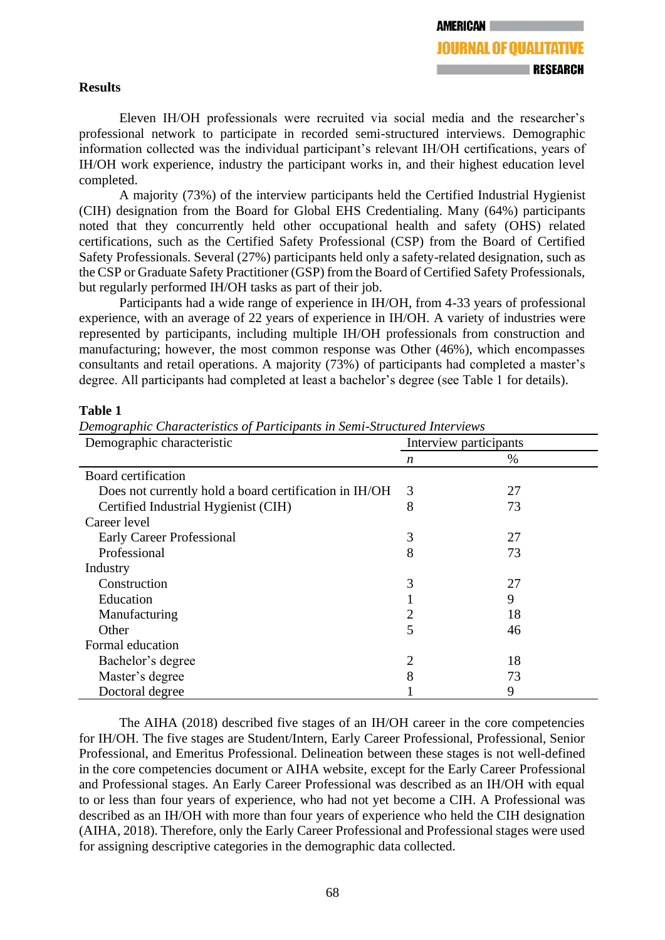# **Results**

Eleven IH/OH professionals were recruited via social media and the researcher's professional network to participate in recorded semi-structured interviews. Demographic information collected was the individual participant's relevant IH/OH certifications, years of IH/OH work experience, industry the participant works in, and their highest education level completed.

A majority (73%) of the interview participants held the Certified Industrial Hygienist (CIH) designation from the Board for Global EHS Credentialing. Many (64%) participants noted that they concurrently held other occupational health and safety (OHS) related certifications, such as the Certified Safety Professional (CSP) from the Board of Certified Safety Professionals. Several (27%) participants held only a safety-related designation, such as the CSP or Graduate Safety Practitioner (GSP) from the Board of Certified Safety Professionals, but regularly performed IH/OH tasks as part of their job.

Participants had a wide range of experience in IH/OH, from 4-33 years of professional experience, with an average of 22 years of experience in IH/OH. A variety of industries were represented by participants, including multiple IH/OH professionals from construction and manufacturing; however, the most common response was Other (46%), which encompasses consultants and retail operations. A majority (73%) of participants had completed a master's degree. All participants had completed at least a bachelor's degree (see Table 1 for details).

# **Table 1**

| Demographic characteristic                             | Interview participants |    |  |  |
|--------------------------------------------------------|------------------------|----|--|--|
|                                                        | n                      | %  |  |  |
| Board certification                                    |                        |    |  |  |
| Does not currently hold a board certification in IH/OH | 3                      | 27 |  |  |
| Certified Industrial Hygienist (CIH)                   | 8                      | 73 |  |  |
| Career level                                           |                        |    |  |  |
| <b>Early Career Professional</b>                       | 3                      | 27 |  |  |
| Professional                                           | 8                      | 73 |  |  |
| Industry                                               |                        |    |  |  |
| Construction                                           | 3                      | 27 |  |  |
| Education                                              |                        | 9  |  |  |
| Manufacturing                                          | 2                      | 18 |  |  |
| Other                                                  | 5                      | 46 |  |  |
| Formal education                                       |                        |    |  |  |
| Bachelor's degree                                      | $\overline{2}$         | 18 |  |  |
| Master's degree                                        | 8                      | 73 |  |  |
| Doctoral degree                                        |                        | 9  |  |  |

*Demographic Characteristics of Participants in Semi-Structured Interviews*

The AIHA (2018) described five stages of an IH/OH career in the core competencies for IH/OH. The five stages are Student/Intern, Early Career Professional, Professional, Senior Professional, and Emeritus Professional. Delineation between these stages is not well-defined in the core competencies document or AIHA website, except for the Early Career Professional and Professional stages. An Early Career Professional was described as an IH/OH with equal to or less than four years of experience, who had not yet become a CIH. A Professional was described as an IH/OH with more than four years of experience who held the CIH designation (AIHA, 2018). Therefore, only the Early Career Professional and Professional stages were used for assigning descriptive categories in the demographic data collected.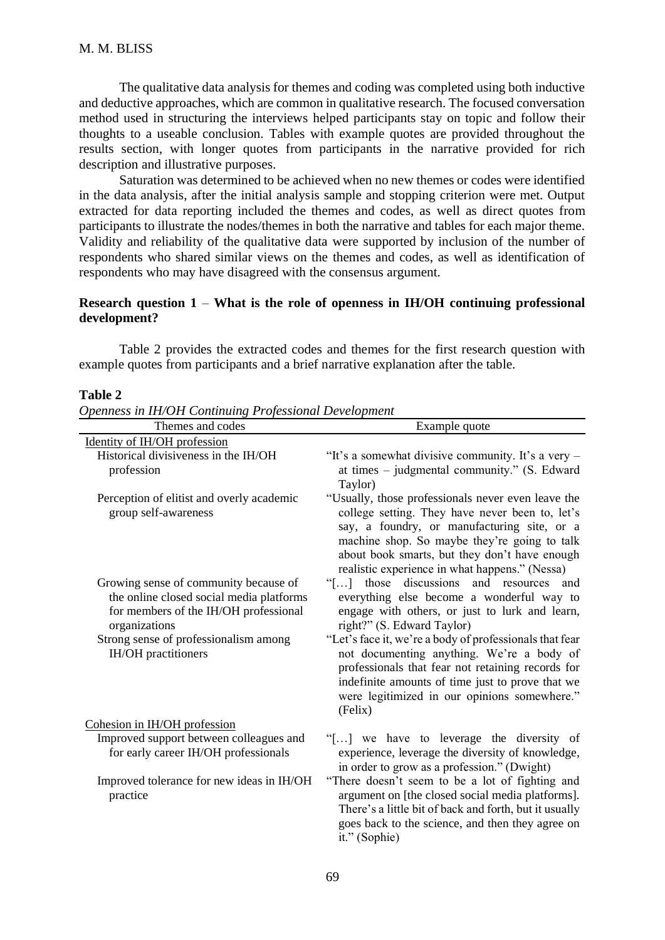The qualitative data analysis for themes and coding was completed using both inductive and deductive approaches, which are common in qualitative research. The focused conversation method used in structuring the interviews helped participants stay on topic and follow their thoughts to a useable conclusion. Tables with example quotes are provided throughout the results section, with longer quotes from participants in the narrative provided for rich description and illustrative purposes.

Saturation was determined to be achieved when no new themes or codes were identified in the data analysis, after the initial analysis sample and stopping criterion were met. Output extracted for data reporting included the themes and codes, as well as direct quotes from participants to illustrate the nodes/themes in both the narrative and tables for each major theme. Validity and reliability of the qualitative data were supported by inclusion of the number of respondents who shared similar views on the themes and codes, as well as identification of respondents who may have disagreed with the consensus argument.

# **Research question 1** – **What is the role of openness in IH/OH continuing professional development?**

Table 2 provides the extracted codes and themes for the first research question with example quotes from participants and a brief narrative explanation after the table.

#### **Table 2**

*Openness in IH/OH Continuing Professional Development*

| Themes and codes                                                                                                                            | Example quote                                                                                                                                                                                                                                                                                           |
|---------------------------------------------------------------------------------------------------------------------------------------------|---------------------------------------------------------------------------------------------------------------------------------------------------------------------------------------------------------------------------------------------------------------------------------------------------------|
| Identity of IH/OH profession                                                                                                                |                                                                                                                                                                                                                                                                                                         |
| Historical divisiveness in the IH/OH<br>profession                                                                                          | "It's a somewhat divisive community. It's a very -<br>at times $-$ judgmental community." (S. Edward<br>Taylor)                                                                                                                                                                                         |
| Perception of elitist and overly academic<br>group self-awareness                                                                           | "Usually, those professionals never even leave the<br>college setting. They have never been to, let's<br>say, a foundry, or manufacturing site, or a<br>machine shop. So maybe they're going to talk<br>about book smarts, but they don't have enough<br>realistic experience in what happens." (Nessa) |
| Growing sense of community because of<br>the online closed social media platforms<br>for members of the IH/OH professional<br>organizations | discussions and resources<br>"[ $\dots$ ] those<br>and<br>everything else become a wonderful way to<br>engage with others, or just to lurk and learn,<br>right?" (S. Edward Taylor)                                                                                                                     |
| Strong sense of professionalism among<br>IH/OH practitioners                                                                                | "Let's face it, we're a body of professionals that fear<br>not documenting anything. We're a body of<br>professionals that fear not retaining records for<br>indefinite amounts of time just to prove that we<br>were legitimized in our opinions somewhere."<br>(Felix)                                |
| Cohesion in IH/OH profession                                                                                                                |                                                                                                                                                                                                                                                                                                         |
| Improved support between colleagues and<br>for early career IH/OH professionals                                                             | "[] we have to leverage the diversity of<br>experience, leverage the diversity of knowledge,<br>in order to grow as a profession." (Dwight)                                                                                                                                                             |
| Improved tolerance for new ideas in IH/OH<br>practice                                                                                       | "There doesn't seem to be a lot of fighting and<br>argument on [the closed social media platforms].<br>There's a little bit of back and forth, but it usually<br>goes back to the science, and then they agree on<br>it." (Sophie)                                                                      |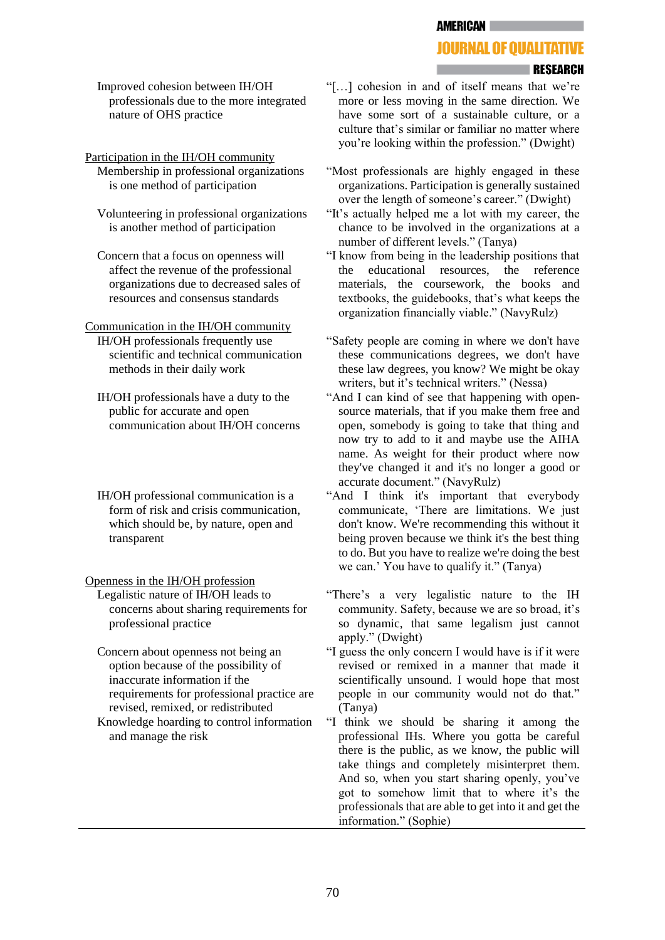**AMERICAN** 

### **JOURNAL OF OUALITATIVE**

#### **RESEARCH**

Improved cohesion between IH/OH professionals due to the more integrated nature of OHS practice

Participation in the IH/OH community

Membership in professional organizations is one method of participation

Volunteering in professional organizations is another method of participation

Concern that a focus on openness will affect the revenue of the professional organizations due to decreased sales of resources and consensus standards

Communication in the IH/OH community

IH/OH professionals frequently use scientific and technical communication methods in their daily work

IH/OH professionals have a duty to the public for accurate and open communication about IH/OH concerns

- IH/OH professional communication is a form of risk and crisis communication, which should be, by nature, open and transparent
- Openness in the IH/OH profession Legalistic nature of IH/OH leads to concerns about sharing requirements for professional practice
	- Concern about openness not being an option because of the possibility of inaccurate information if the requirements for professional practice are revised, remixed, or redistributed
	- Knowledge hoarding to control information and manage the risk
- "[…] cohesion in and of itself means that we're more or less moving in the same direction. We have some sort of a sustainable culture, or a culture that's similar or familiar no matter where you're looking within the profession." (Dwight)
- "Most professionals are highly engaged in these organizations. Participation is generally sustained over the length of someone's career." (Dwight)
- "It's actually helped me a lot with my career, the chance to be involved in the organizations at a number of different levels." (Tanya)
- "I know from being in the leadership positions that the educational resources, the reference materials, the coursework, the books and textbooks, the guidebooks, that's what keeps the organization financially viable." (NavyRulz)
- "Safety people are coming in where we don't have these communications degrees, we don't have these law degrees, you know? We might be okay writers, but it's technical writers." (Nessa)
- "And I can kind of see that happening with opensource materials, that if you make them free and open, somebody is going to take that thing and now try to add to it and maybe use the AIHA name. As weight for their product where now they've changed it and it's no longer a good or accurate document." (NavyRulz)
- "And I think it's important that everybody communicate, 'There are limitations. We just don't know. We're recommending this without it being proven because we think it's the best thing to do. But you have to realize we're doing the best we can.' You have to qualify it." (Tanya)
- "There's a very legalistic nature to the IH community. Safety, because we are so broad, it's so dynamic, that same legalism just cannot apply." (Dwight)
- "I guess the only concern I would have is if it were revised or remixed in a manner that made it scientifically unsound. I would hope that most people in our community would not do that." (Tanya)
- "I think we should be sharing it among the professional IHs. Where you gotta be careful there is the public, as we know, the public will take things and completely misinterpret them. And so, when you start sharing openly, you've got to somehow limit that to where it's the professionals that are able to get into it and get the information." (Sophie)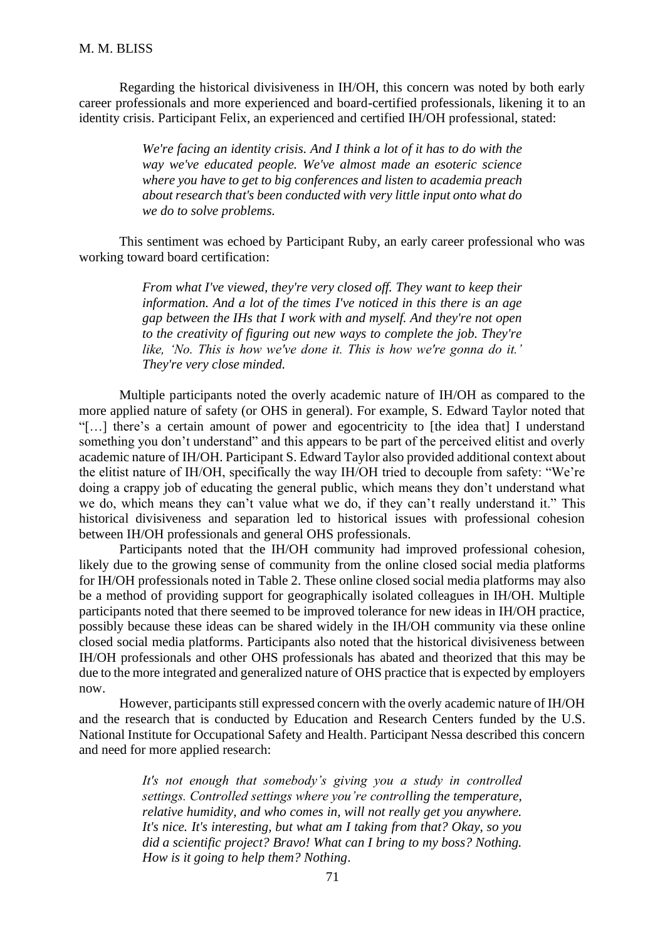Regarding the historical divisiveness in IH/OH, this concern was noted by both early career professionals and more experienced and board-certified professionals, likening it to an identity crisis. Participant Felix, an experienced and certified IH/OH professional, stated:

> *We're facing an identity crisis. And I think a lot of it has to do with the way we've educated people. We've almost made an esoteric science where you have to get to big conferences and listen to academia preach about research that's been conducted with very little input onto what do we do to solve problems.*

This sentiment was echoed by Participant Ruby, an early career professional who was working toward board certification:

> *From what I've viewed, they're very closed off. They want to keep their information. And a lot of the times I've noticed in this there is an age gap between the IHs that I work with and myself. And they're not open to the creativity of figuring out new ways to complete the job. They're like, 'No. This is how we've done it. This is how we're gonna do it.' They're very close minded.*

Multiple participants noted the overly academic nature of IH/OH as compared to the more applied nature of safety (or OHS in general). For example, S. Edward Taylor noted that "[…] there's a certain amount of power and egocentricity to [the idea that] I understand something you don't understand" and this appears to be part of the perceived elitist and overly academic nature of IH/OH. Participant S. Edward Taylor also provided additional context about the elitist nature of IH/OH, specifically the way IH/OH tried to decouple from safety: "We're doing a crappy job of educating the general public, which means they don't understand what we do, which means they can't value what we do, if they can't really understand it." This historical divisiveness and separation led to historical issues with professional cohesion between IH/OH professionals and general OHS professionals.

Participants noted that the IH/OH community had improved professional cohesion, likely due to the growing sense of community from the online closed social media platforms for IH/OH professionals noted in Table 2. These online closed social media platforms may also be a method of providing support for geographically isolated colleagues in IH/OH. Multiple participants noted that there seemed to be improved tolerance for new ideas in IH/OH practice, possibly because these ideas can be shared widely in the IH/OH community via these online closed social media platforms. Participants also noted that the historical divisiveness between IH/OH professionals and other OHS professionals has abated and theorized that this may be due to the more integrated and generalized nature of OHS practice that is expected by employers now.

However, participants still expressed concern with the overly academic nature of IH/OH and the research that is conducted by Education and Research Centers funded by the U.S. National Institute for Occupational Safety and Health. Participant Nessa described this concern and need for more applied research:

> *It's not enough that somebody's giving you a study in controlled settings. Controlled settings where you're controlling the temperature, relative humidity, and who comes in, will not really get you anywhere. It's nice. It's interesting, but what am I taking from that? Okay, so you did a scientific project? Bravo! What can I bring to my boss? Nothing. How is it going to help them? Nothing*.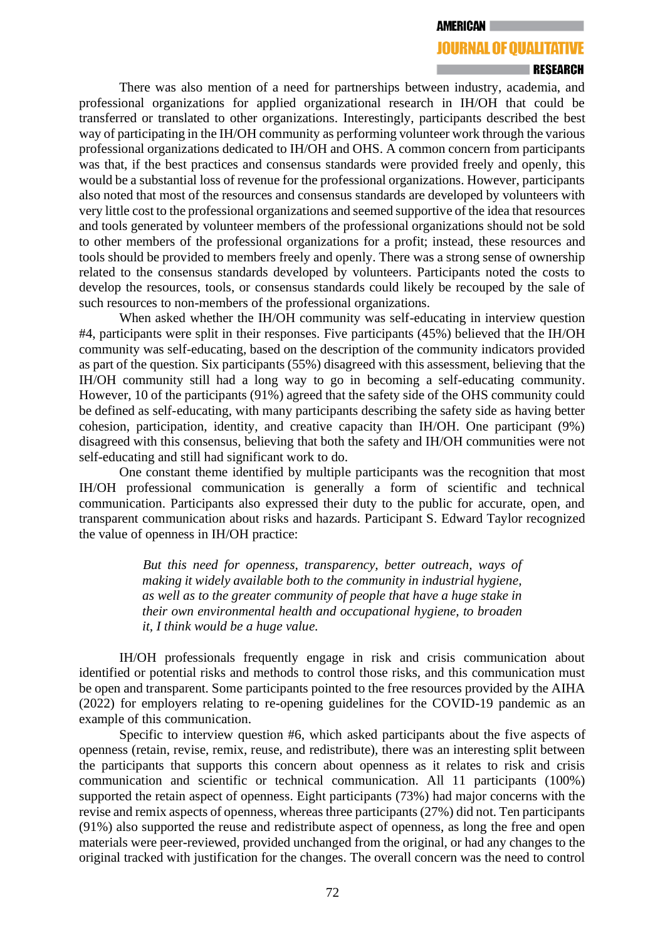# **JOURNAL OF QUALITATIVE**

#### **ERESEARCH**

There was also mention of a need for partnerships between industry, academia, and professional organizations for applied organizational research in IH/OH that could be transferred or translated to other organizations. Interestingly, participants described the best way of participating in the IH/OH community as performing volunteer work through the various professional organizations dedicated to IH/OH and OHS. A common concern from participants was that, if the best practices and consensus standards were provided freely and openly, this would be a substantial loss of revenue for the professional organizations. However, participants also noted that most of the resources and consensus standards are developed by volunteers with very little cost to the professional organizations and seemed supportive of the idea that resources and tools generated by volunteer members of the professional organizations should not be sold to other members of the professional organizations for a profit; instead, these resources and tools should be provided to members freely and openly. There was a strong sense of ownership related to the consensus standards developed by volunteers. Participants noted the costs to develop the resources, tools, or consensus standards could likely be recouped by the sale of such resources to non-members of the professional organizations.

When asked whether the IH/OH community was self-educating in interview question #4, participants were split in their responses. Five participants (45%) believed that the IH/OH community was self-educating, based on the description of the community indicators provided as part of the question. Six participants (55%) disagreed with this assessment, believing that the IH/OH community still had a long way to go in becoming a self-educating community. However, 10 of the participants (91%) agreed that the safety side of the OHS community could be defined as self-educating, with many participants describing the safety side as having better cohesion, participation, identity, and creative capacity than IH/OH. One participant (9%) disagreed with this consensus, believing that both the safety and IH/OH communities were not self-educating and still had significant work to do.

One constant theme identified by multiple participants was the recognition that most IH/OH professional communication is generally a form of scientific and technical communication. Participants also expressed their duty to the public for accurate, open, and transparent communication about risks and hazards. Participant S. Edward Taylor recognized the value of openness in IH/OH practice:

> *But this need for openness, transparency, better outreach, ways of making it widely available both to the community in industrial hygiene, as well as to the greater community of people that have a huge stake in their own environmental health and occupational hygiene, to broaden it, I think would be a huge value.*

IH/OH professionals frequently engage in risk and crisis communication about identified or potential risks and methods to control those risks, and this communication must be open and transparent. Some participants pointed to the free resources provided by the AIHA (2022) for employers relating to re-opening guidelines for the COVID-19 pandemic as an example of this communication.

Specific to interview question #6, which asked participants about the five aspects of openness (retain, revise, remix, reuse, and redistribute), there was an interesting split between the participants that supports this concern about openness as it relates to risk and crisis communication and scientific or technical communication. All 11 participants (100%) supported the retain aspect of openness. Eight participants (73%) had major concerns with the revise and remix aspects of openness, whereas three participants (27%) did not. Ten participants (91%) also supported the reuse and redistribute aspect of openness, as long the free and open materials were peer-reviewed, provided unchanged from the original, or had any changes to the original tracked with justification for the changes. The overall concern was the need to control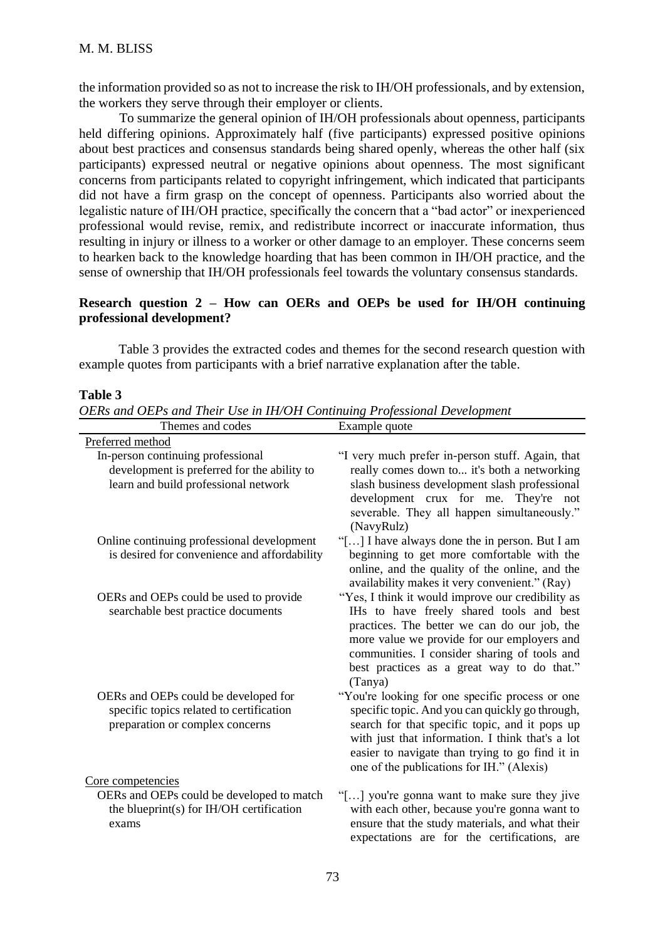the information provided so as not to increase the risk to IH/OH professionals, and by extension, the workers they serve through their employer or clients.

To summarize the general opinion of IH/OH professionals about openness, participants held differing opinions. Approximately half (five participants) expressed positive opinions about best practices and consensus standards being shared openly, whereas the other half (six participants) expressed neutral or negative opinions about openness. The most significant concerns from participants related to copyright infringement, which indicated that participants did not have a firm grasp on the concept of openness. Participants also worried about the legalistic nature of IH/OH practice, specifically the concern that a "bad actor" or inexperienced professional would revise, remix, and redistribute incorrect or inaccurate information, thus resulting in injury or illness to a worker or other damage to an employer. These concerns seem to hearken back to the knowledge hoarding that has been common in IH/OH practice, and the sense of ownership that IH/OH professionals feel towards the voluntary consensus standards.

# **Research question 2 – How can OERs and OEPs be used for IH/OH continuing professional development?**

Table 3 provides the extracted codes and themes for the second research question with example quotes from participants with a brief narrative explanation after the table.

#### **Table 3**

*OERs and OEPs and Their Use in IH/OH Continuing Professional Development*

| Themes and codes                                                                                                      | Example quote                                                                                                                                                                                                                                                                                            |
|-----------------------------------------------------------------------------------------------------------------------|----------------------------------------------------------------------------------------------------------------------------------------------------------------------------------------------------------------------------------------------------------------------------------------------------------|
| Preferred method                                                                                                      |                                                                                                                                                                                                                                                                                                          |
| In-person continuing professional<br>development is preferred for the ability to                                      | "I very much prefer in-person stuff. Again, that<br>really comes down to it's both a networking                                                                                                                                                                                                          |
| learn and build professional network                                                                                  | slash business development slash professional<br>development crux for me. They're not<br>severable. They all happen simultaneously."<br>(NavyRulz)                                                                                                                                                       |
| Online continuing professional development<br>is desired for convenience and affordability                            | "[] I have always done the in person. But I am<br>beginning to get more comfortable with the<br>online, and the quality of the online, and the<br>availability makes it very convenient." (Ray)                                                                                                          |
| OERs and OEPs could be used to provide<br>searchable best practice documents                                          | "Yes, I think it would improve our credibility as<br>IHs to have freely shared tools and best<br>practices. The better we can do our job, the<br>more value we provide for our employers and<br>communities. I consider sharing of tools and<br>best practices as a great way to do that."<br>(Tanya)    |
| OERs and OEPs could be developed for<br>specific topics related to certification<br>preparation or complex concerns   | "You're looking for one specific process or one<br>specific topic. And you can quickly go through,<br>search for that specific topic, and it pops up<br>with just that information. I think that's a lot<br>easier to navigate than trying to go find it in<br>one of the publications for IH." (Alexis) |
| Core competencies<br>OERs and OEPs could be developed to match<br>the blueprint(s) for $IH/OH$ certification<br>exams | "[] you're gonna want to make sure they jive<br>with each other, because you're gonna want to<br>ensure that the study materials, and what their<br>expectations are for the certifications, are                                                                                                         |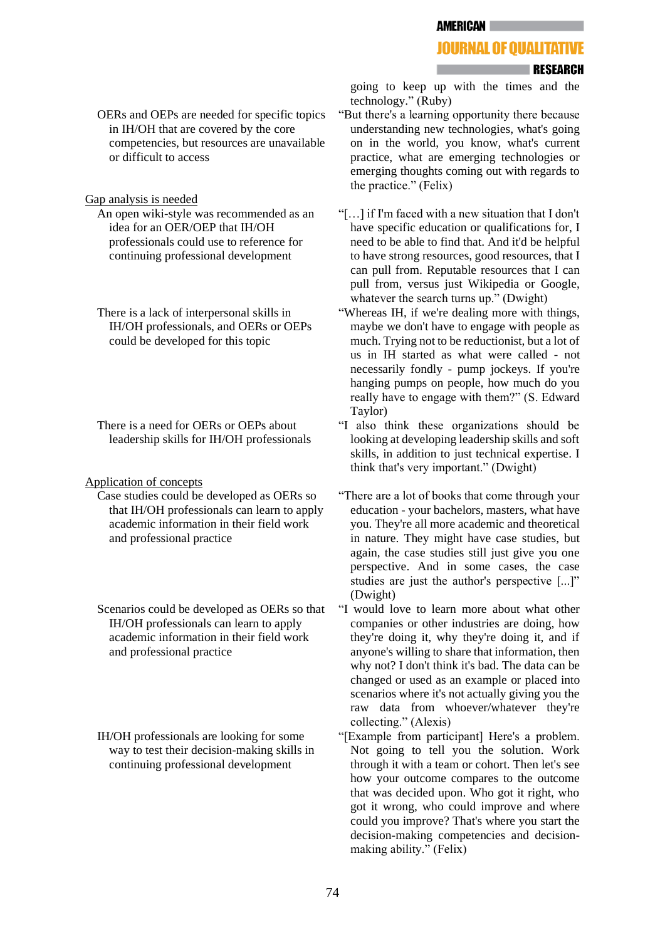### **JOURNAL OF OUALITATIVE**

#### **ERESEARCH**

OERs and OEPs are needed for specific topics in IH/OH that are covered by the core competencies, but resources are unavailable or difficult to access

Gap analysis is needed

- An open wiki-style was recommended as an idea for an OER/OEP that IH/OH professionals could use to reference for continuing professional development
- There is a lack of interpersonal skills in IH/OH professionals, and OERs or OEPs could be developed for this topic

There is a need for OERs or OEPs about leadership skills for IH/OH professionals

#### Application of concepts

- Case studies could be developed as OERs so that IH/OH professionals can learn to apply academic information in their field work and professional practice
- Scenarios could be developed as OERs so that IH/OH professionals can learn to apply academic information in their field work and professional practice
- IH/OH professionals are looking for some way to test their decision-making skills in continuing professional development

going to keep up with the times and the technology." (Ruby)

- "But there's a learning opportunity there because understanding new technologies, what's going on in the world, you know, what's current practice, what are emerging technologies or emerging thoughts coming out with regards to the practice." (Felix)
- "[…] if I'm faced with a new situation that I don't have specific education or qualifications for, I need to be able to find that. And it'd be helpful to have strong resources, good resources, that I can pull from. Reputable resources that I can pull from, versus just Wikipedia or Google, whatever the search turns up." (Dwight)
- "Whereas IH, if we're dealing more with things, maybe we don't have to engage with people as much. Trying not to be reductionist, but a lot of us in IH started as what were called - not necessarily fondly - pump jockeys. If you're hanging pumps on people, how much do you really have to engage with them?" (S. Edward Taylor)
- "I also think these organizations should be looking at developing leadership skills and soft skills, in addition to just technical expertise. I think that's very important." (Dwight)
- "There are a lot of books that come through your education - your bachelors, masters, what have you. They're all more academic and theoretical in nature. They might have case studies, but again, the case studies still just give you one perspective. And in some cases, the case studies are just the author's perspective [...]" (Dwight)
- "I would love to learn more about what other companies or other industries are doing, how they're doing it, why they're doing it, and if anyone's willing to share that information, then why not? I don't think it's bad. The data can be changed or used as an example or placed into scenarios where it's not actually giving you the raw data from whoever/whatever they're collecting." (Alexis)
- "[Example from participant] Here's a problem. Not going to tell you the solution. Work through it with a team or cohort. Then let's see how your outcome compares to the outcome that was decided upon. Who got it right, who got it wrong, who could improve and where could you improve? That's where you start the decision-making competencies and decisionmaking ability." (Felix)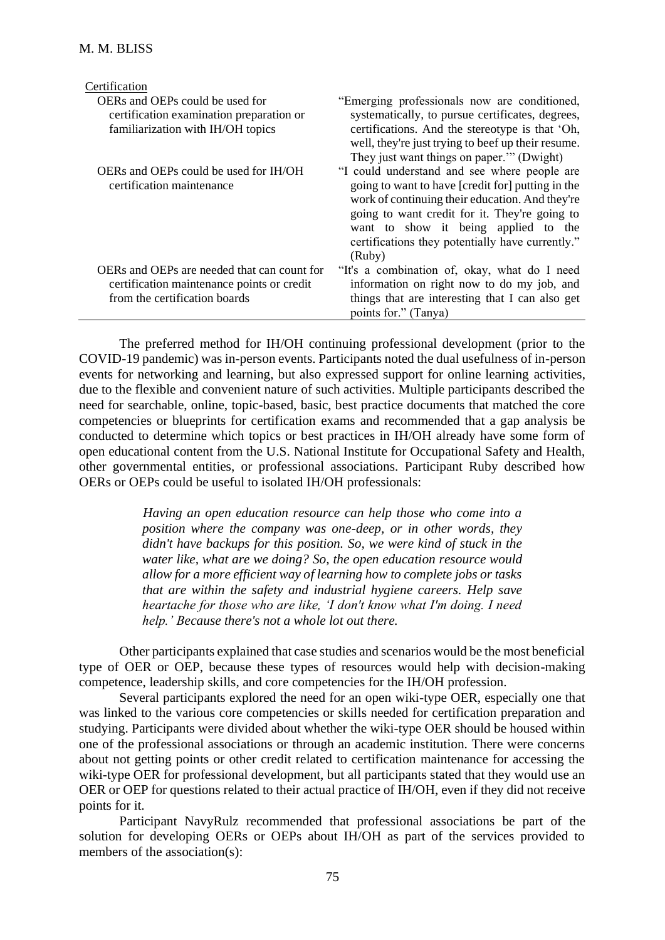| Certification                                                                                                              |                                                                                                                                                                                                                                                                                                             |
|----------------------------------------------------------------------------------------------------------------------------|-------------------------------------------------------------------------------------------------------------------------------------------------------------------------------------------------------------------------------------------------------------------------------------------------------------|
| OERs and OEPs could be used for<br>certification examination preparation or<br>familiarization with IH/OH topics           | "Emerging professionals now are conditioned,<br>systematically, to pursue certificates, degrees,<br>certifications. And the stereotype is that 'Oh,<br>well, they're just trying to beef up their resume.<br>They just want things on paper." (Dwight)                                                      |
| OERs and OEPs could be used for IH/OH<br>certification maintenance                                                         | "I could understand and see where people are<br>going to want to have [credit for] putting in the<br>work of continuing their education. And they're<br>going to want credit for it. They're going to<br>want to show it being applied to the<br>certifications they potentially have currently."<br>(Ruby) |
| OERs and OEPs are needed that can count for<br>certification maintenance points or credit<br>from the certification boards | "It's a combination of, okay, what do I need<br>information on right now to do my job, and<br>things that are interesting that I can also get<br>points for." (Tanya)                                                                                                                                       |

The preferred method for IH/OH continuing professional development (prior to the COVID-19 pandemic) was in-person events. Participants noted the dual usefulness of in-person events for networking and learning, but also expressed support for online learning activities, due to the flexible and convenient nature of such activities. Multiple participants described the need for searchable, online, topic-based, basic, best practice documents that matched the core competencies or blueprints for certification exams and recommended that a gap analysis be conducted to determine which topics or best practices in IH/OH already have some form of open educational content from the U.S. National Institute for Occupational Safety and Health, other governmental entities, or professional associations. Participant Ruby described how OERs or OEPs could be useful to isolated IH/OH professionals:

> *Having an open education resource can help those who come into a position where the company was one-deep, or in other words, they didn't have backups for this position. So, we were kind of stuck in the water like, what are we doing? So, the open education resource would allow for a more efficient way of learning how to complete jobs or tasks that are within the safety and industrial hygiene careers. Help save heartache for those who are like, 'I don't know what I'm doing. I need help.' Because there's not a whole lot out there.*

Other participants explained that case studies and scenarios would be the most beneficial type of OER or OEP, because these types of resources would help with decision-making competence, leadership skills, and core competencies for the IH/OH profession.

Several participants explored the need for an open wiki-type OER, especially one that was linked to the various core competencies or skills needed for certification preparation and studying. Participants were divided about whether the wiki-type OER should be housed within one of the professional associations or through an academic institution. There were concerns about not getting points or other credit related to certification maintenance for accessing the wiki-type OER for professional development, but all participants stated that they would use an OER or OEP for questions related to their actual practice of IH/OH, even if they did not receive points for it.

Participant NavyRulz recommended that professional associations be part of the solution for developing OERs or OEPs about IH/OH as part of the services provided to members of the association(s):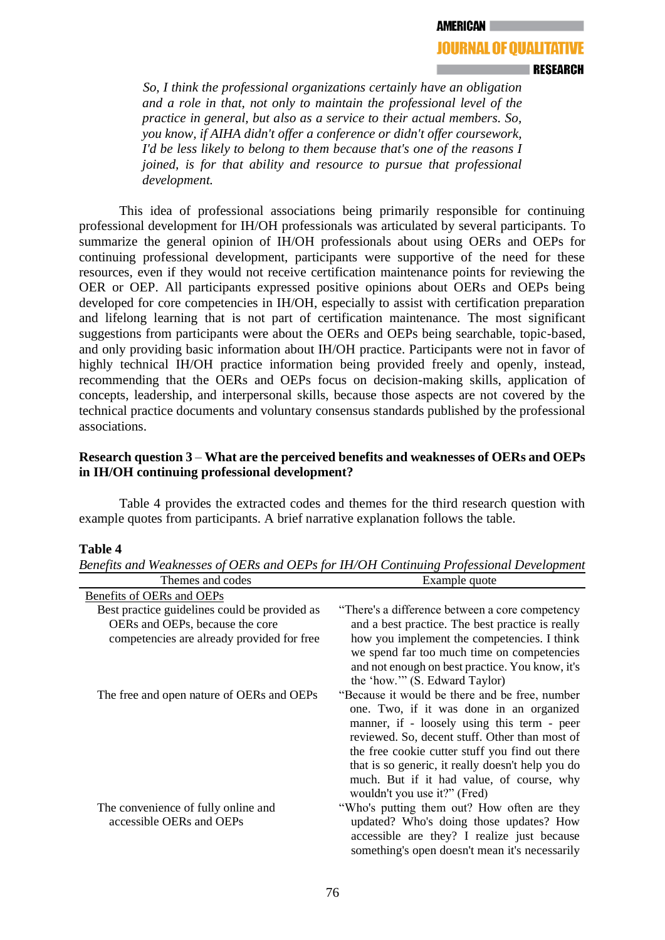### **JOURNAL OF OUALITATIVE**

**I RESEARCH** 

*So, I think the professional organizations certainly have an obligation and a role in that, not only to maintain the professional level of the practice in general, but also as a service to their actual members. So, you know, if AIHA didn't offer a conference or didn't offer coursework, I'd be less likely to belong to them because that's one of the reasons I joined, is for that ability and resource to pursue that professional development.* 

This idea of professional associations being primarily responsible for continuing professional development for IH/OH professionals was articulated by several participants. To summarize the general opinion of IH/OH professionals about using OERs and OEPs for continuing professional development, participants were supportive of the need for these resources, even if they would not receive certification maintenance points for reviewing the OER or OEP. All participants expressed positive opinions about OERs and OEPs being developed for core competencies in IH/OH, especially to assist with certification preparation and lifelong learning that is not part of certification maintenance. The most significant suggestions from participants were about the OERs and OEPs being searchable, topic-based, and only providing basic information about IH/OH practice. Participants were not in favor of highly technical IH/OH practice information being provided freely and openly, instead, recommending that the OERs and OEPs focus on decision-making skills, application of concepts, leadership, and interpersonal skills, because those aspects are not covered by the technical practice documents and voluntary consensus standards published by the professional associations.

### **Research question 3** – **What are the perceived benefits and weaknesses of OERs and OEPs in IH/OH continuing professional development?**

Table 4 provides the extracted codes and themes for the third research question with example quotes from participants. A brief narrative explanation follows the table.

#### **Table 4**

| THEIT ARE COULD                               | <b>EXAMPLE QUOTE</b>                              |
|-----------------------------------------------|---------------------------------------------------|
| Benefits of OERs and OEPs                     |                                                   |
| Best practice guidelines could be provided as | "There's a difference between a core competency"  |
| OERs and OEPs, because the core               | and a best practice. The best practice is really  |
| competencies are already provided for free    | how you implement the competencies. I think       |
|                                               | we spend far too much time on competencies        |
|                                               | and not enough on best practice. You know, it's   |
|                                               | the 'how.'" (S. Edward Taylor)                    |
| The free and open nature of OERs and OEPs     | "Because it would be there and be free, number    |
|                                               | one. Two, if it was done in an organized          |
|                                               | manner, if - loosely using this term - peer       |
|                                               | reviewed. So, decent stuff. Other than most of    |
|                                               | the free cookie cutter stuff you find out there   |
|                                               | that is so generic, it really doesn't help you do |
|                                               | much. But if it had value, of course, why         |
|                                               | wouldn't you use it?" (Fred)                      |
| The convenience of fully online and           | "Who's putting them out? How often are they       |
| accessible OERs and OEPs                      | updated? Who's doing those updates? How           |
|                                               | accessible are they? I realize just because       |
|                                               | something's open doesn't mean it's necessarily    |

*Benefits and Weaknesses of OERs and OEPs for IH/OH Continuing Professional Development*  $Thames and codes$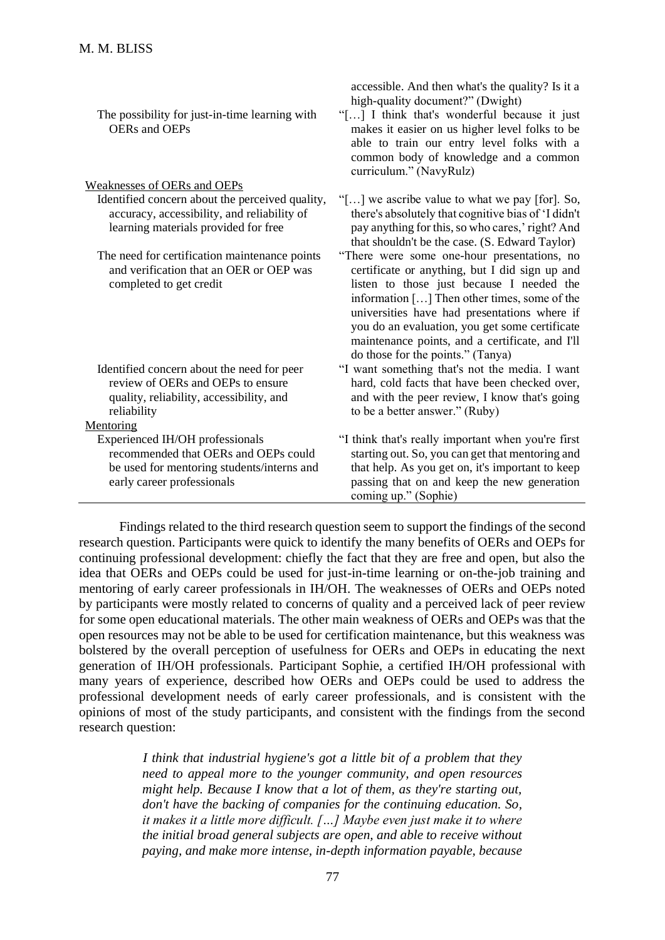| The possibility for just-in-time learning with<br><b>OERs</b> and <b>OEPs</b>                                                                       | high-quality document?" (Dwight)<br>"[] I think that's wonderful because it just<br>makes it easier on us higher level folks to be<br>able to train our entry level folks with a<br>common body of knowledge and a common<br>curriculum." (NavyRulz)                                                                                                                                 |
|-----------------------------------------------------------------------------------------------------------------------------------------------------|--------------------------------------------------------------------------------------------------------------------------------------------------------------------------------------------------------------------------------------------------------------------------------------------------------------------------------------------------------------------------------------|
| Weaknesses of OERs and OEPs                                                                                                                         |                                                                                                                                                                                                                                                                                                                                                                                      |
| Identified concern about the perceived quality,<br>accuracy, accessibility, and reliability of<br>learning materials provided for free              | "[] we ascribe value to what we pay [for]. So,<br>there's absolutely that cognitive bias of 'I didn't<br>pay anything for this, so who cares,' right? And<br>that shouldn't be the case. (S. Edward Taylor)                                                                                                                                                                          |
| The need for certification maintenance points<br>and verification that an OER or OEP was<br>completed to get credit                                 | "There were some one-hour presentations, no<br>certificate or anything, but I did sign up and<br>listen to those just because I needed the<br>information [] Then other times, some of the<br>universities have had presentations where if<br>you do an evaluation, you get some certificate<br>maintenance points, and a certificate, and I'll<br>do those for the points." (Tanya) |
| Identified concern about the need for peer<br>review of OERs and OEPs to ensure<br>quality, reliability, accessibility, and                         | "I want something that's not the media. I want<br>hard, cold facts that have been checked over,<br>and with the peer review, I know that's going                                                                                                                                                                                                                                     |
| reliability                                                                                                                                         | to be a better answer." (Ruby)                                                                                                                                                                                                                                                                                                                                                       |
| Mentoring                                                                                                                                           |                                                                                                                                                                                                                                                                                                                                                                                      |
| Experienced IH/OH professionals<br>recommended that OERs and OEPs could<br>be used for mentoring students/interns and<br>early career professionals | "I think that's really important when you're first<br>starting out. So, you can get that mentoring and<br>that help. As you get on, it's important to keep<br>passing that on and keep the new generation<br>coming up." (Sophie)                                                                                                                                                    |

accessible. And then what's the quality? Is it a

Findings related to the third research question seem to support the findings of the second research question. Participants were quick to identify the many benefits of OERs and OEPs for continuing professional development: chiefly the fact that they are free and open, but also the idea that OERs and OEPs could be used for just-in-time learning or on-the-job training and mentoring of early career professionals in IH/OH. The weaknesses of OERs and OEPs noted by participants were mostly related to concerns of quality and a perceived lack of peer review for some open educational materials. The other main weakness of OERs and OEPs was that the open resources may not be able to be used for certification maintenance, but this weakness was bolstered by the overall perception of usefulness for OERs and OEPs in educating the next generation of IH/OH professionals. Participant Sophie, a certified IH/OH professional with many years of experience, described how OERs and OEPs could be used to address the professional development needs of early career professionals, and is consistent with the opinions of most of the study participants, and consistent with the findings from the second research question:

> *I think that industrial hygiene's got a little bit of a problem that they need to appeal more to the younger community, and open resources might help. Because I know that a lot of them, as they're starting out, don't have the backing of companies for the continuing education. So, it makes it a little more difficult. […] Maybe even just make it to where the initial broad general subjects are open, and able to receive without paying, and make more intense, in-depth information payable, because*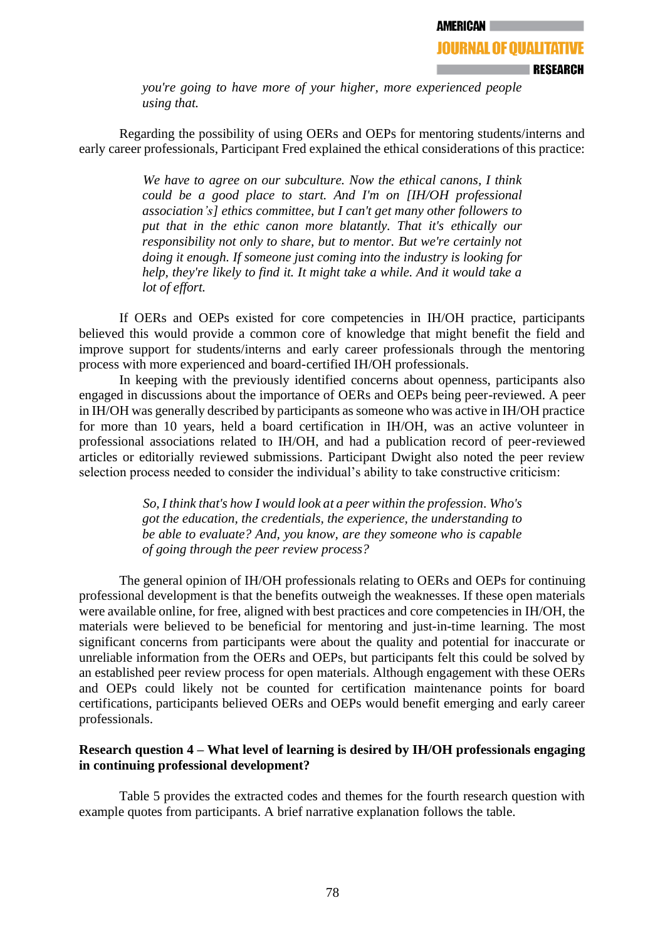**RESEARCH** 

*you're going to have more of your higher, more experienced people using that.* 

Regarding the possibility of using OERs and OEPs for mentoring students/interns and early career professionals, Participant Fred explained the ethical considerations of this practice:

> *We have to agree on our subculture. Now the ethical canons, I think could be a good place to start. And I'm on [IH/OH professional association's] ethics committee, but I can't get many other followers to put that in the ethic canon more blatantly. That it's ethically our responsibility not only to share, but to mentor. But we're certainly not doing it enough. If someone just coming into the industry is looking for help, they're likely to find it. It might take a while. And it would take a lot of effort.*

If OERs and OEPs existed for core competencies in IH/OH practice, participants believed this would provide a common core of knowledge that might benefit the field and improve support for students/interns and early career professionals through the mentoring process with more experienced and board-certified IH/OH professionals.

In keeping with the previously identified concerns about openness, participants also engaged in discussions about the importance of OERs and OEPs being peer-reviewed. A peer in IH/OH was generally described by participants as someone who was active in IH/OH practice for more than 10 years, held a board certification in IH/OH, was an active volunteer in professional associations related to IH/OH, and had a publication record of peer-reviewed articles or editorially reviewed submissions. Participant Dwight also noted the peer review selection process needed to consider the individual's ability to take constructive criticism:

> *So, I think that's how I would look at a peer within the profession. Who's got the education, the credentials, the experience, the understanding to be able to evaluate? And, you know, are they someone who is capable of going through the peer review process?*

The general opinion of IH/OH professionals relating to OERs and OEPs for continuing professional development is that the benefits outweigh the weaknesses. If these open materials were available online, for free, aligned with best practices and core competencies in IH/OH, the materials were believed to be beneficial for mentoring and just-in-time learning. The most significant concerns from participants were about the quality and potential for inaccurate or unreliable information from the OERs and OEPs, but participants felt this could be solved by an established peer review process for open materials. Although engagement with these OERs and OEPs could likely not be counted for certification maintenance points for board certifications, participants believed OERs and OEPs would benefit emerging and early career professionals.

# **Research question 4 – What level of learning is desired by IH/OH professionals engaging in continuing professional development?**

Table 5 provides the extracted codes and themes for the fourth research question with example quotes from participants. A brief narrative explanation follows the table.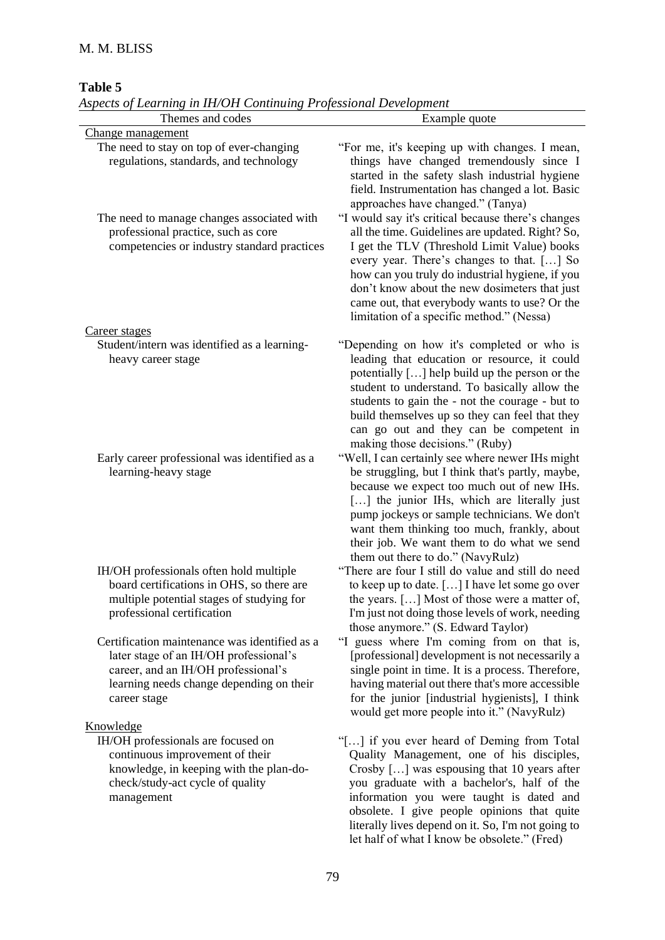# **Table 5**

|  |  |  |  |  | Aspects of Learning in IH/OH Continuing Professional Development |  |  |  |  |
|--|--|--|--|--|------------------------------------------------------------------|--|--|--|--|
|--|--|--|--|--|------------------------------------------------------------------|--|--|--|--|

| Themes and codes                                                                                                                                                                           | Example quote                                                                                                                                                                                                                                                                                                                                                                                         |
|--------------------------------------------------------------------------------------------------------------------------------------------------------------------------------------------|-------------------------------------------------------------------------------------------------------------------------------------------------------------------------------------------------------------------------------------------------------------------------------------------------------------------------------------------------------------------------------------------------------|
| Change management                                                                                                                                                                          |                                                                                                                                                                                                                                                                                                                                                                                                       |
| The need to stay on top of ever-changing<br>regulations, standards, and technology                                                                                                         | "For me, it's keeping up with changes. I mean,<br>things have changed tremendously since I<br>started in the safety slash industrial hygiene<br>field. Instrumentation has changed a lot. Basic<br>approaches have changed." (Tanya)                                                                                                                                                                  |
| The need to manage changes associated with<br>professional practice, such as core<br>competencies or industry standard practices                                                           | "I would say it's critical because there's changes<br>all the time. Guidelines are updated. Right? So,<br>I get the TLV (Threshold Limit Value) books<br>every year. There's changes to that. [] So<br>how can you truly do industrial hygiene, if you<br>don't know about the new dosimeters that just<br>came out, that everybody wants to use? Or the<br>limitation of a specific method." (Nessa) |
| Career stages                                                                                                                                                                              |                                                                                                                                                                                                                                                                                                                                                                                                       |
| Student/intern was identified as a learning-<br>heavy career stage                                                                                                                         | "Depending on how it's completed or who is<br>leading that education or resource, it could<br>potentially [] help build up the person or the<br>student to understand. To basically allow the<br>students to gain the - not the courage - but to<br>build themselves up so they can feel that they<br>can go out and they can be competent in<br>making those decisions." (Ruby)                      |
| Early career professional was identified as a<br>learning-heavy stage                                                                                                                      | "Well, I can certainly see where newer IHs might<br>be struggling, but I think that's partly, maybe,<br>because we expect too much out of new IHs.<br>[] the junior IHs, which are literally just<br>pump jockeys or sample technicians. We don't<br>want them thinking too much, frankly, about<br>their job. We want them to do what we send<br>them out there to do." (NavyRulz)                   |
| IH/OH professionals often hold multiple<br>board certifications in OHS, so there are<br>multiple potential stages of studying for<br>professional certification                            | "There are four I still do value and still do need<br>to keep up to date. [] I have let some go over<br>the years. [] Most of those were a matter of,<br>I'm just not doing those levels of work, needing<br>those anymore." (S. Edward Taylor)                                                                                                                                                       |
| Certification maintenance was identified as a<br>later stage of an IH/OH professional's<br>career, and an IH/OH professional's<br>learning needs change depending on their<br>career stage | "I guess where I'm coming from on that is,<br>[professional] development is not necessarily a<br>single point in time. It is a process. Therefore,<br>having material out there that's more accessible<br>for the junior [industrial hygienists], I think<br>would get more people into it." (NavyRulz)                                                                                               |
| Knowledge                                                                                                                                                                                  |                                                                                                                                                                                                                                                                                                                                                                                                       |
| IH/OH professionals are focused on<br>continuous improvement of their<br>knowledge, in keeping with the plan-do-<br>check/study-act cycle of quality<br>management                         | "[] if you ever heard of Deming from Total<br>Quality Management, one of his disciples,<br>Crosby [] was espousing that 10 years after<br>you graduate with a bachelor's, half of the<br>information you were taught is dated and<br>obsolete. I give people opinions that quite<br>literally lives depend on it. So, I'm not going to<br>let half of what I know be obsolete." (Fred)                |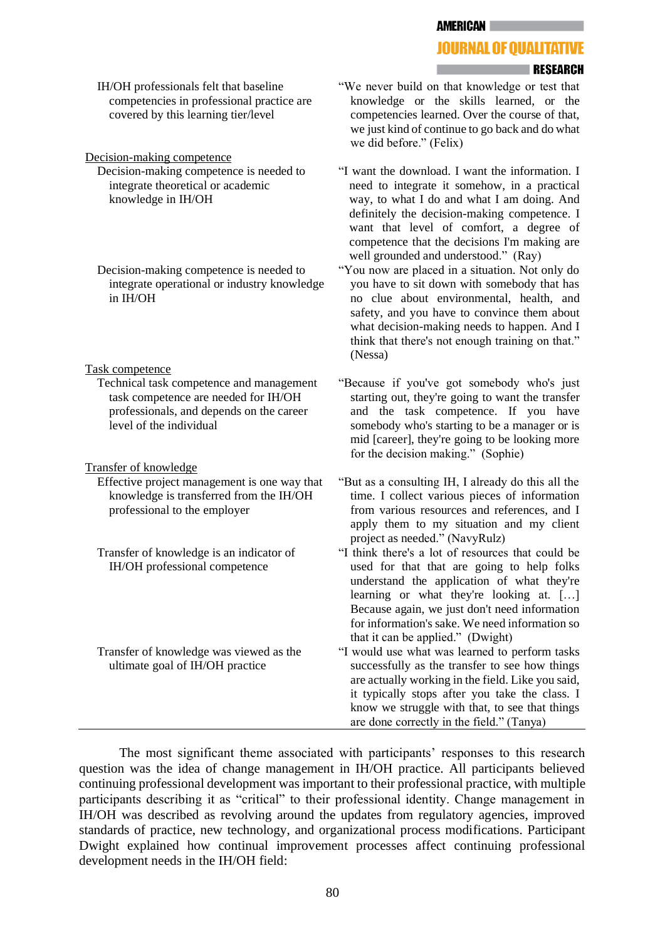**AMERICAN** 

# **JOURNAL OF OUALITATIVE**

#### **ERESEARCH**

IH/OH professionals felt that baseline competencies in professional practice are covered by this learning tier/level

#### Decision-making competence

Decision-making competence is needed to integrate theoretical or academic knowledge in IH/OH

Decision-making competence is needed to integrate operational or industry knowledge in IH/OH

#### Task competence

Technical task competence and management task competence are needed for IH/OH professionals, and depends on the career level of the individual

#### Transfer of knowledge

- Effective project management is one way that knowledge is transferred from the IH/OH professional to the employer
- Transfer of knowledge is an indicator of IH/OH professional competence

Transfer of knowledge was viewed as the ultimate goal of IH/OH practice

- "We never build on that knowledge or test that knowledge or the skills learned, or the competencies learned. Over the course of that, we just kind of continue to go back and do what we did before." (Felix)
- "I want the download. I want the information. I need to integrate it somehow, in a practical way, to what I do and what I am doing. And definitely the decision-making competence. I want that level of comfort, a degree of competence that the decisions I'm making are well grounded and understood." (Ray)
- "You now are placed in a situation. Not only do you have to sit down with somebody that has no clue about environmental, health, and safety, and you have to convince them about what decision-making needs to happen. And I think that there's not enough training on that." (Nessa)
- "Because if you've got somebody who's just starting out, they're going to want the transfer and the task competence. If you have somebody who's starting to be a manager or is mid [career], they're going to be looking more for the decision making." (Sophie)
- "But as a consulting IH, I already do this all the time. I collect various pieces of information from various resources and references, and I apply them to my situation and my client project as needed." (NavyRulz)
- "I think there's a lot of resources that could be used for that that are going to help folks understand the application of what they're learning or what they're looking at. […] Because again, we just don't need information for information's sake. We need information so that it can be applied." (Dwight)
- "I would use what was learned to perform tasks successfully as the transfer to see how things are actually working in the field. Like you said, it typically stops after you take the class. I know we struggle with that, to see that things are done correctly in the field." (Tanya)

The most significant theme associated with participants' responses to this research question was the idea of change management in IH/OH practice. All participants believed continuing professional development was important to their professional practice, with multiple participants describing it as "critical" to their professional identity. Change management in IH/OH was described as revolving around the updates from regulatory agencies, improved standards of practice, new technology, and organizational process modifications. Participant Dwight explained how continual improvement processes affect continuing professional development needs in the IH/OH field: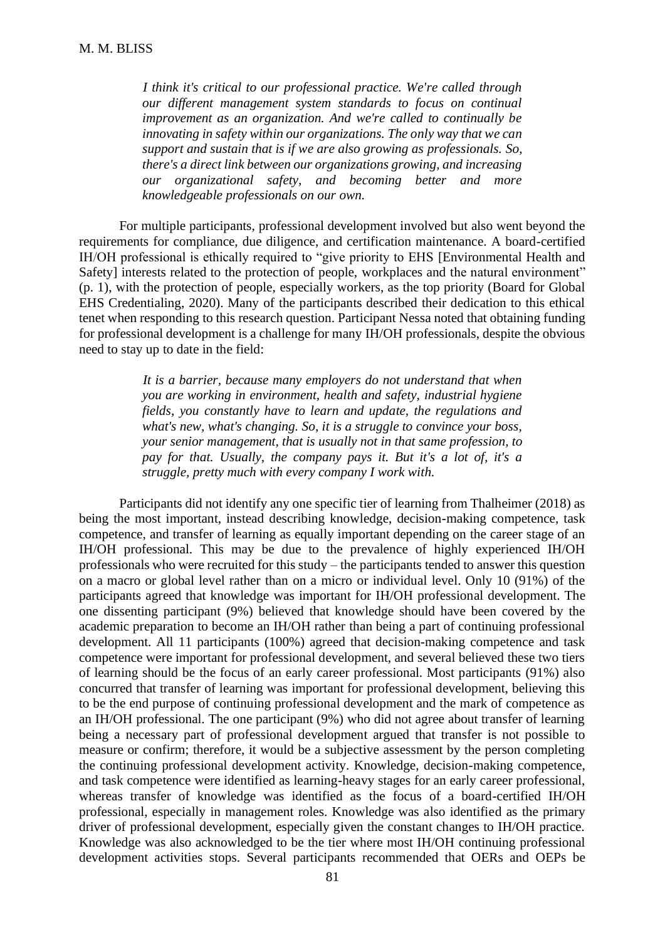*I think it's critical to our professional practice. We're called through our different management system standards to focus on continual improvement as an organization. And we're called to continually be innovating in safety within our organizations. The only way that we can support and sustain that is if we are also growing as professionals. So, there's a direct link between our organizations growing, and increasing our organizational safety, and becoming better and more knowledgeable professionals on our own.*

For multiple participants, professional development involved but also went beyond the requirements for compliance, due diligence, and certification maintenance. A board-certified IH/OH professional is ethically required to "give priority to EHS [Environmental Health and Safety] interests related to the protection of people, workplaces and the natural environment" (p. 1), with the protection of people, especially workers, as the top priority (Board for Global EHS Credentialing, 2020). Many of the participants described their dedication to this ethical tenet when responding to this research question. Participant Nessa noted that obtaining funding for professional development is a challenge for many IH/OH professionals, despite the obvious need to stay up to date in the field:

> *It is a barrier, because many employers do not understand that when you are working in environment, health and safety, industrial hygiene fields, you constantly have to learn and update, the regulations and what's new, what's changing. So, it is a struggle to convince your boss, your senior management, that is usually not in that same profession, to pay for that. Usually, the company pays it. But it's a lot of, it's a struggle, pretty much with every company I work with.*

Participants did not identify any one specific tier of learning from Thalheimer (2018) as being the most important, instead describing knowledge, decision-making competence, task competence, and transfer of learning as equally important depending on the career stage of an IH/OH professional. This may be due to the prevalence of highly experienced IH/OH professionals who were recruited for this study – the participants tended to answer this question on a macro or global level rather than on a micro or individual level. Only 10 (91%) of the participants agreed that knowledge was important for IH/OH professional development. The one dissenting participant (9%) believed that knowledge should have been covered by the academic preparation to become an IH/OH rather than being a part of continuing professional development. All 11 participants (100%) agreed that decision-making competence and task competence were important for professional development, and several believed these two tiers of learning should be the focus of an early career professional. Most participants (91%) also concurred that transfer of learning was important for professional development, believing this to be the end purpose of continuing professional development and the mark of competence as an IH/OH professional. The one participant (9%) who did not agree about transfer of learning being a necessary part of professional development argued that transfer is not possible to measure or confirm; therefore, it would be a subjective assessment by the person completing the continuing professional development activity. Knowledge, decision-making competence, and task competence were identified as learning-heavy stages for an early career professional, whereas transfer of knowledge was identified as the focus of a board-certified IH/OH professional, especially in management roles. Knowledge was also identified as the primary driver of professional development, especially given the constant changes to IH/OH practice. Knowledge was also acknowledged to be the tier where most IH/OH continuing professional development activities stops. Several participants recommended that OERs and OEPs be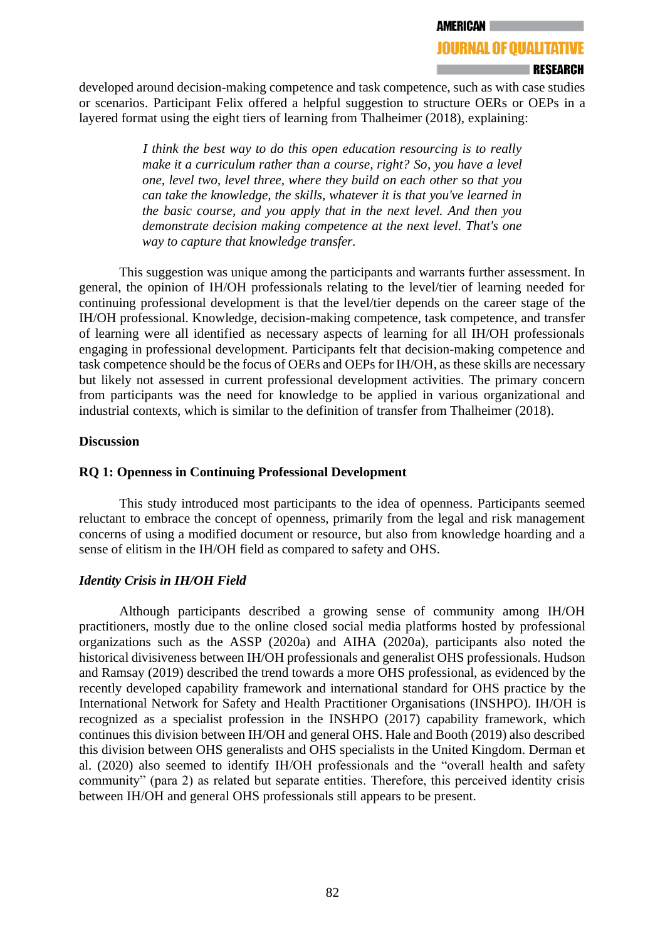### **JOURNAL OF OUALITATIVE**

#### **∣RESEARCH**

developed around decision-making competence and task competence, such as with case studies or scenarios. Participant Felix offered a helpful suggestion to structure OERs or OEPs in a layered format using the eight tiers of learning from Thalheimer (2018), explaining:

> *I think the best way to do this open education resourcing is to really make it a curriculum rather than a course, right? So, you have a level one, level two, level three, where they build on each other so that you can take the knowledge, the skills, whatever it is that you've learned in the basic course, and you apply that in the next level. And then you demonstrate decision making competence at the next level. That's one way to capture that knowledge transfer.*

This suggestion was unique among the participants and warrants further assessment. In general, the opinion of IH/OH professionals relating to the level/tier of learning needed for continuing professional development is that the level/tier depends on the career stage of the IH/OH professional. Knowledge, decision-making competence, task competence, and transfer of learning were all identified as necessary aspects of learning for all IH/OH professionals engaging in professional development. Participants felt that decision-making competence and task competence should be the focus of OERs and OEPs for IH/OH, as these skills are necessary but likely not assessed in current professional development activities. The primary concern from participants was the need for knowledge to be applied in various organizational and industrial contexts, which is similar to the definition of transfer from Thalheimer (2018).

#### **Discussion**

# **RQ 1: Openness in Continuing Professional Development**

This study introduced most participants to the idea of openness. Participants seemed reluctant to embrace the concept of openness, primarily from the legal and risk management concerns of using a modified document or resource, but also from knowledge hoarding and a sense of elitism in the IH/OH field as compared to safety and OHS.

### *Identity Crisis in IH/OH Field*

Although participants described a growing sense of community among IH/OH practitioners, mostly due to the online closed social media platforms hosted by professional organizations such as the ASSP (2020a) and AIHA (2020a), participants also noted the historical divisiveness between IH/OH professionals and generalist OHS professionals. Hudson and Ramsay (2019) described the trend towards a more OHS professional, as evidenced by the recently developed capability framework and international standard for OHS practice by the International Network for Safety and Health Practitioner Organisations (INSHPO). IH/OH is recognized as a specialist profession in the INSHPO (2017) capability framework, which continues this division between IH/OH and general OHS. Hale and Booth (2019) also described this division between OHS generalists and OHS specialists in the United Kingdom. Derman et al. (2020) also seemed to identify IH/OH professionals and the "overall health and safety community" (para 2) as related but separate entities. Therefore, this perceived identity crisis between IH/OH and general OHS professionals still appears to be present.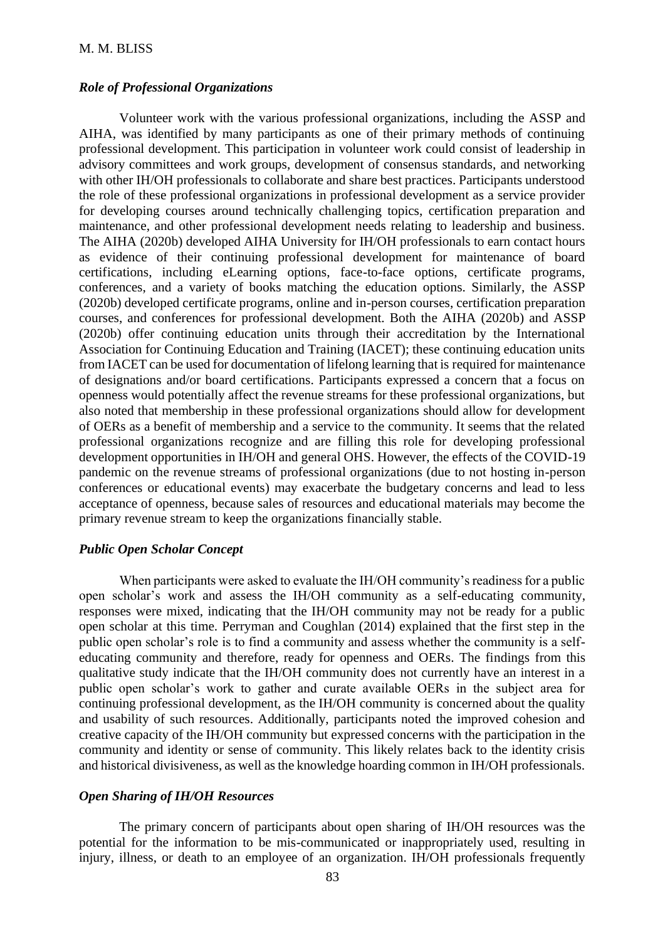#### *Role of Professional Organizations*

Volunteer work with the various professional organizations, including the ASSP and AIHA, was identified by many participants as one of their primary methods of continuing professional development. This participation in volunteer work could consist of leadership in advisory committees and work groups, development of consensus standards, and networking with other IH/OH professionals to collaborate and share best practices. Participants understood the role of these professional organizations in professional development as a service provider for developing courses around technically challenging topics, certification preparation and maintenance, and other professional development needs relating to leadership and business. The AIHA (2020b) developed AIHA University for IH/OH professionals to earn contact hours as evidence of their continuing professional development for maintenance of board certifications, including eLearning options, face-to-face options, certificate programs, conferences, and a variety of books matching the education options. Similarly, the ASSP (2020b) developed certificate programs, online and in-person courses, certification preparation courses, and conferences for professional development. Both the AIHA (2020b) and ASSP (2020b) offer continuing education units through their accreditation by the International Association for Continuing Education and Training (IACET); these continuing education units from IACET can be used for documentation of lifelong learning that is required for maintenance of designations and/or board certifications. Participants expressed a concern that a focus on openness would potentially affect the revenue streams for these professional organizations, but also noted that membership in these professional organizations should allow for development of OERs as a benefit of membership and a service to the community. It seems that the related professional organizations recognize and are filling this role for developing professional development opportunities in IH/OH and general OHS. However, the effects of the COVID-19 pandemic on the revenue streams of professional organizations (due to not hosting in-person conferences or educational events) may exacerbate the budgetary concerns and lead to less acceptance of openness, because sales of resources and educational materials may become the primary revenue stream to keep the organizations financially stable.

### *Public Open Scholar Concept*

When participants were asked to evaluate the IH/OH community's readiness for a public open scholar's work and assess the IH/OH community as a self-educating community, responses were mixed, indicating that the IH/OH community may not be ready for a public open scholar at this time. Perryman and Coughlan (2014) explained that the first step in the public open scholar's role is to find a community and assess whether the community is a selfeducating community and therefore, ready for openness and OERs. The findings from this qualitative study indicate that the IH/OH community does not currently have an interest in a public open scholar's work to gather and curate available OERs in the subject area for continuing professional development, as the IH/OH community is concerned about the quality and usability of such resources. Additionally, participants noted the improved cohesion and creative capacity of the IH/OH community but expressed concerns with the participation in the community and identity or sense of community. This likely relates back to the identity crisis and historical divisiveness, as well as the knowledge hoarding common in IH/OH professionals.

#### *Open Sharing of IH/OH Resources*

The primary concern of participants about open sharing of IH/OH resources was the potential for the information to be mis-communicated or inappropriately used, resulting in injury, illness, or death to an employee of an organization. IH/OH professionals frequently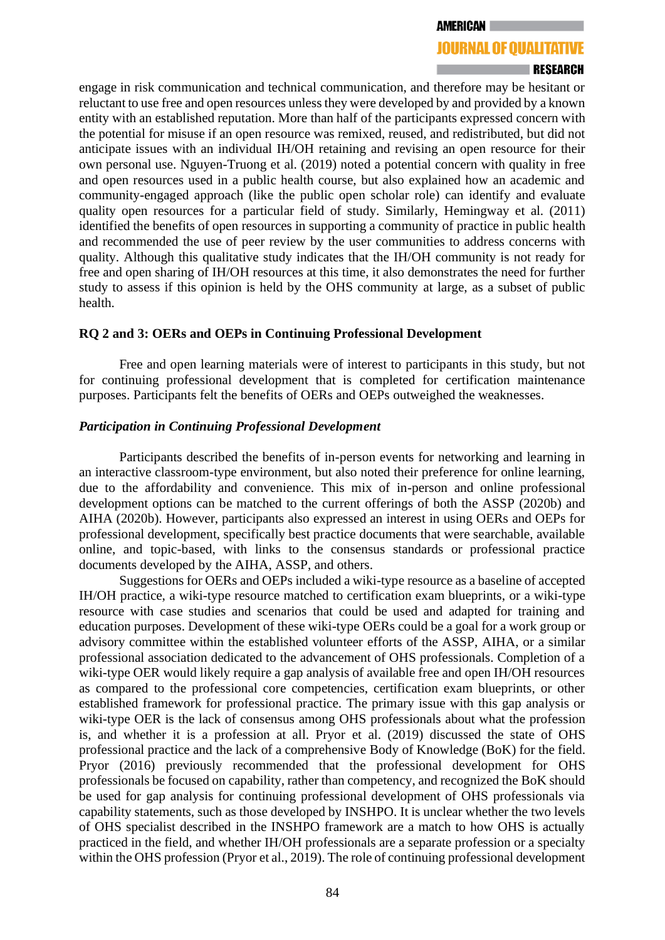#### **JOURNAL OF QUALITATIVE**

#### **I RESEARCH**

engage in risk communication and technical communication, and therefore may be hesitant or reluctant to use free and open resources unless they were developed by and provided by a known entity with an established reputation. More than half of the participants expressed concern with the potential for misuse if an open resource was remixed, reused, and redistributed, but did not anticipate issues with an individual IH/OH retaining and revising an open resource for their own personal use. Nguyen-Truong et al. (2019) noted a potential concern with quality in free and open resources used in a public health course, but also explained how an academic and community-engaged approach (like the public open scholar role) can identify and evaluate quality open resources for a particular field of study. Similarly, Hemingway et al. (2011) identified the benefits of open resources in supporting a community of practice in public health and recommended the use of peer review by the user communities to address concerns with quality. Although this qualitative study indicates that the IH/OH community is not ready for free and open sharing of IH/OH resources at this time, it also demonstrates the need for further study to assess if this opinion is held by the OHS community at large, as a subset of public health.

### **RQ 2 and 3: OERs and OEPs in Continuing Professional Development**

Free and open learning materials were of interest to participants in this study, but not for continuing professional development that is completed for certification maintenance purposes. Participants felt the benefits of OERs and OEPs outweighed the weaknesses.

### *Participation in Continuing Professional Development*

Participants described the benefits of in-person events for networking and learning in an interactive classroom-type environment, but also noted their preference for online learning, due to the affordability and convenience. This mix of in-person and online professional development options can be matched to the current offerings of both the ASSP (2020b) and AIHA (2020b). However, participants also expressed an interest in using OERs and OEPs for professional development, specifically best practice documents that were searchable, available online, and topic-based, with links to the consensus standards or professional practice documents developed by the AIHA, ASSP, and others.

Suggestions for OERs and OEPs included a wiki-type resource as a baseline of accepted IH/OH practice, a wiki-type resource matched to certification exam blueprints, or a wiki-type resource with case studies and scenarios that could be used and adapted for training and education purposes. Development of these wiki-type OERs could be a goal for a work group or advisory committee within the established volunteer efforts of the ASSP, AIHA, or a similar professional association dedicated to the advancement of OHS professionals. Completion of a wiki-type OER would likely require a gap analysis of available free and open IH/OH resources as compared to the professional core competencies, certification exam blueprints, or other established framework for professional practice. The primary issue with this gap analysis or wiki-type OER is the lack of consensus among OHS professionals about what the profession is, and whether it is a profession at all. Pryor et al. (2019) discussed the state of OHS professional practice and the lack of a comprehensive Body of Knowledge (BoK) for the field. Pryor (2016) previously recommended that the professional development for OHS professionals be focused on capability, rather than competency, and recognized the BoK should be used for gap analysis for continuing professional development of OHS professionals via capability statements, such as those developed by INSHPO. It is unclear whether the two levels of OHS specialist described in the INSHPO framework are a match to how OHS is actually practiced in the field, and whether IH/OH professionals are a separate profession or a specialty within the OHS profession (Pryor et al., 2019). The role of continuing professional development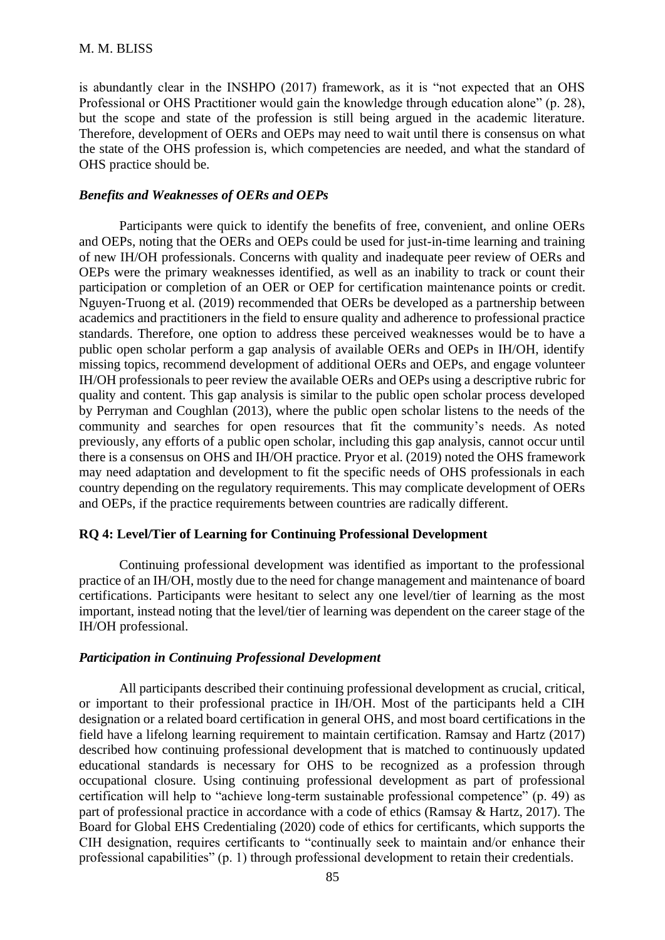is abundantly clear in the INSHPO (2017) framework, as it is "not expected that an OHS Professional or OHS Practitioner would gain the knowledge through education alone" (p. 28), but the scope and state of the profession is still being argued in the academic literature. Therefore, development of OERs and OEPs may need to wait until there is consensus on what the state of the OHS profession is, which competencies are needed, and what the standard of OHS practice should be.

# *Benefits and Weaknesses of OERs and OEPs*

Participants were quick to identify the benefits of free, convenient, and online OERs and OEPs, noting that the OERs and OEPs could be used for just-in-time learning and training of new IH/OH professionals. Concerns with quality and inadequate peer review of OERs and OEPs were the primary weaknesses identified, as well as an inability to track or count their participation or completion of an OER or OEP for certification maintenance points or credit. Nguyen-Truong et al. (2019) recommended that OERs be developed as a partnership between academics and practitioners in the field to ensure quality and adherence to professional practice standards. Therefore, one option to address these perceived weaknesses would be to have a public open scholar perform a gap analysis of available OERs and OEPs in IH/OH, identify missing topics, recommend development of additional OERs and OEPs, and engage volunteer IH/OH professionals to peer review the available OERs and OEPs using a descriptive rubric for quality and content. This gap analysis is similar to the public open scholar process developed by Perryman and Coughlan (2013), where the public open scholar listens to the needs of the community and searches for open resources that fit the community's needs. As noted previously, any efforts of a public open scholar, including this gap analysis, cannot occur until there is a consensus on OHS and IH/OH practice. Pryor et al. (2019) noted the OHS framework may need adaptation and development to fit the specific needs of OHS professionals in each country depending on the regulatory requirements. This may complicate development of OERs and OEPs, if the practice requirements between countries are radically different.

### **RQ 4: Level/Tier of Learning for Continuing Professional Development**

Continuing professional development was identified as important to the professional practice of an IH/OH, mostly due to the need for change management and maintenance of board certifications. Participants were hesitant to select any one level/tier of learning as the most important, instead noting that the level/tier of learning was dependent on the career stage of the IH/OH professional.

# *Participation in Continuing Professional Development*

All participants described their continuing professional development as crucial, critical, or important to their professional practice in IH/OH. Most of the participants held a CIH designation or a related board certification in general OHS, and most board certifications in the field have a lifelong learning requirement to maintain certification. Ramsay and Hartz (2017) described how continuing professional development that is matched to continuously updated educational standards is necessary for OHS to be recognized as a profession through occupational closure. Using continuing professional development as part of professional certification will help to "achieve long-term sustainable professional competence" (p. 49) as part of professional practice in accordance with a code of ethics (Ramsay & Hartz, 2017). The Board for Global EHS Credentialing (2020) code of ethics for certificants, which supports the CIH designation, requires certificants to "continually seek to maintain and/or enhance their professional capabilities" (p. 1) through professional development to retain their credentials.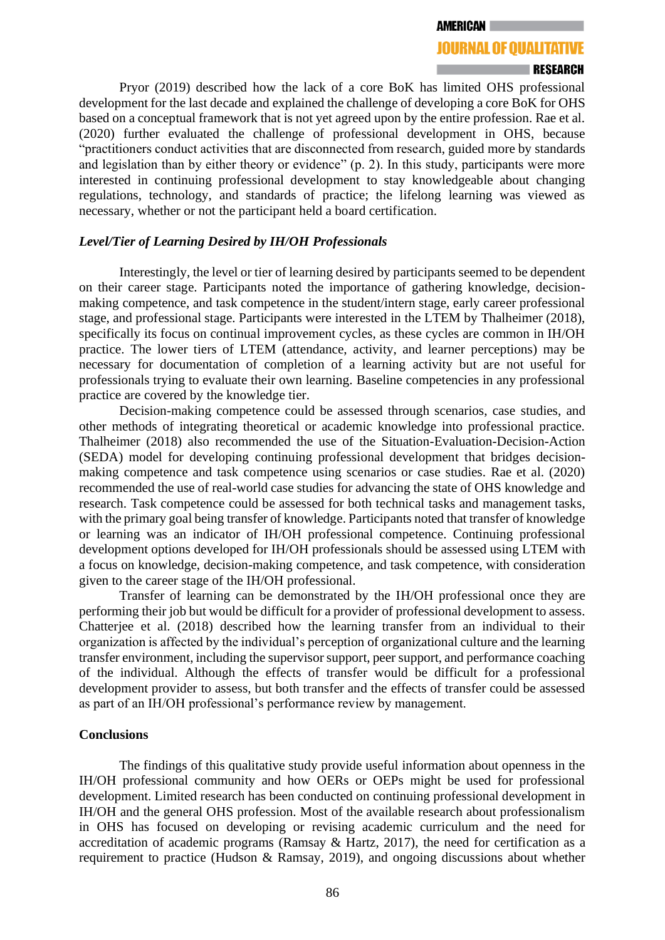**AMERICAN** 

#### **JOURNAL OF QUALITATIVE**

#### **ERESEARCH**

Pryor (2019) described how the lack of a core BoK has limited OHS professional development for the last decade and explained the challenge of developing a core BoK for OHS based on a conceptual framework that is not yet agreed upon by the entire profession. Rae et al. (2020) further evaluated the challenge of professional development in OHS, because "practitioners conduct activities that are disconnected from research, guided more by standards and legislation than by either theory or evidence" (p. 2). In this study, participants were more interested in continuing professional development to stay knowledgeable about changing regulations, technology, and standards of practice; the lifelong learning was viewed as necessary, whether or not the participant held a board certification.

### *Level/Tier of Learning Desired by IH/OH Professionals*

Interestingly, the level or tier of learning desired by participants seemed to be dependent on their career stage. Participants noted the importance of gathering knowledge, decisionmaking competence, and task competence in the student/intern stage, early career professional stage, and professional stage. Participants were interested in the LTEM by Thalheimer (2018), specifically its focus on continual improvement cycles, as these cycles are common in IH/OH practice. The lower tiers of LTEM (attendance, activity, and learner perceptions) may be necessary for documentation of completion of a learning activity but are not useful for professionals trying to evaluate their own learning. Baseline competencies in any professional practice are covered by the knowledge tier.

Decision-making competence could be assessed through scenarios, case studies, and other methods of integrating theoretical or academic knowledge into professional practice. Thalheimer (2018) also recommended the use of the Situation-Evaluation-Decision-Action (SEDA) model for developing continuing professional development that bridges decisionmaking competence and task competence using scenarios or case studies. Rae et al. (2020) recommended the use of real-world case studies for advancing the state of OHS knowledge and research. Task competence could be assessed for both technical tasks and management tasks, with the primary goal being transfer of knowledge. Participants noted that transfer of knowledge or learning was an indicator of IH/OH professional competence. Continuing professional development options developed for IH/OH professionals should be assessed using LTEM with a focus on knowledge, decision-making competence, and task competence, with consideration given to the career stage of the IH/OH professional.

Transfer of learning can be demonstrated by the IH/OH professional once they are performing their job but would be difficult for a provider of professional development to assess. Chatterjee et al. (2018) described how the learning transfer from an individual to their organization is affected by the individual's perception of organizational culture and the learning transfer environment, including the supervisor support, peer support, and performance coaching of the individual. Although the effects of transfer would be difficult for a professional development provider to assess, but both transfer and the effects of transfer could be assessed as part of an IH/OH professional's performance review by management.

#### **Conclusions**

The findings of this qualitative study provide useful information about openness in the IH/OH professional community and how OERs or OEPs might be used for professional development. Limited research has been conducted on continuing professional development in IH/OH and the general OHS profession. Most of the available research about professionalism in OHS has focused on developing or revising academic curriculum and the need for accreditation of academic programs (Ramsay & Hartz, 2017), the need for certification as a requirement to practice (Hudson & Ramsay, 2019), and ongoing discussions about whether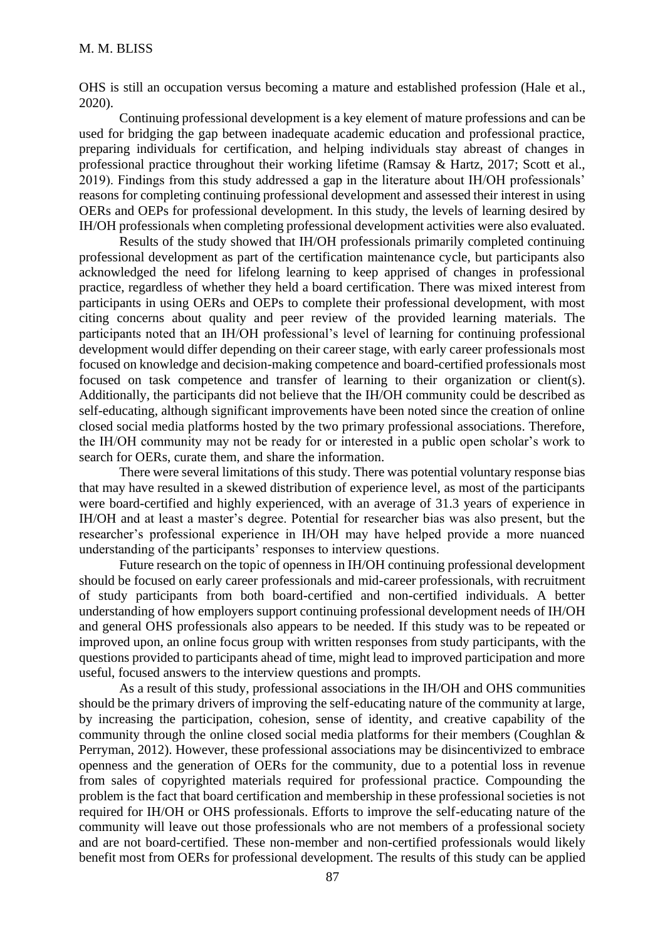OHS is still an occupation versus becoming a mature and established profession (Hale et al., 2020).

Continuing professional development is a key element of mature professions and can be used for bridging the gap between inadequate academic education and professional practice, preparing individuals for certification, and helping individuals stay abreast of changes in professional practice throughout their working lifetime (Ramsay & Hartz, 2017; Scott et al., 2019). Findings from this study addressed a gap in the literature about IH/OH professionals' reasons for completing continuing professional development and assessed their interest in using OERs and OEPs for professional development. In this study, the levels of learning desired by IH/OH professionals when completing professional development activities were also evaluated.

Results of the study showed that IH/OH professionals primarily completed continuing professional development as part of the certification maintenance cycle, but participants also acknowledged the need for lifelong learning to keep apprised of changes in professional practice, regardless of whether they held a board certification. There was mixed interest from participants in using OERs and OEPs to complete their professional development, with most citing concerns about quality and peer review of the provided learning materials. The participants noted that an IH/OH professional's level of learning for continuing professional development would differ depending on their career stage, with early career professionals most focused on knowledge and decision-making competence and board-certified professionals most focused on task competence and transfer of learning to their organization or client(s). Additionally, the participants did not believe that the IH/OH community could be described as self-educating, although significant improvements have been noted since the creation of online closed social media platforms hosted by the two primary professional associations. Therefore, the IH/OH community may not be ready for or interested in a public open scholar's work to search for OERs, curate them, and share the information.

There were several limitations of this study. There was potential voluntary response bias that may have resulted in a skewed distribution of experience level, as most of the participants were board-certified and highly experienced, with an average of 31.3 years of experience in IH/OH and at least a master's degree. Potential for researcher bias was also present, but the researcher's professional experience in IH/OH may have helped provide a more nuanced understanding of the participants' responses to interview questions.

Future research on the topic of openness in IH/OH continuing professional development should be focused on early career professionals and mid-career professionals, with recruitment of study participants from both board-certified and non-certified individuals. A better understanding of how employers support continuing professional development needs of IH/OH and general OHS professionals also appears to be needed. If this study was to be repeated or improved upon, an online focus group with written responses from study participants, with the questions provided to participants ahead of time, might lead to improved participation and more useful, focused answers to the interview questions and prompts.

As a result of this study, professional associations in the IH/OH and OHS communities should be the primary drivers of improving the self-educating nature of the community at large, by increasing the participation, cohesion, sense of identity, and creative capability of the community through the online closed social media platforms for their members (Coughlan & Perryman, 2012). However, these professional associations may be disincentivized to embrace openness and the generation of OERs for the community, due to a potential loss in revenue from sales of copyrighted materials required for professional practice. Compounding the problem is the fact that board certification and membership in these professional societies is not required for IH/OH or OHS professionals. Efforts to improve the self-educating nature of the community will leave out those professionals who are not members of a professional society and are not board-certified. These non-member and non-certified professionals would likely benefit most from OERs for professional development. The results of this study can be applied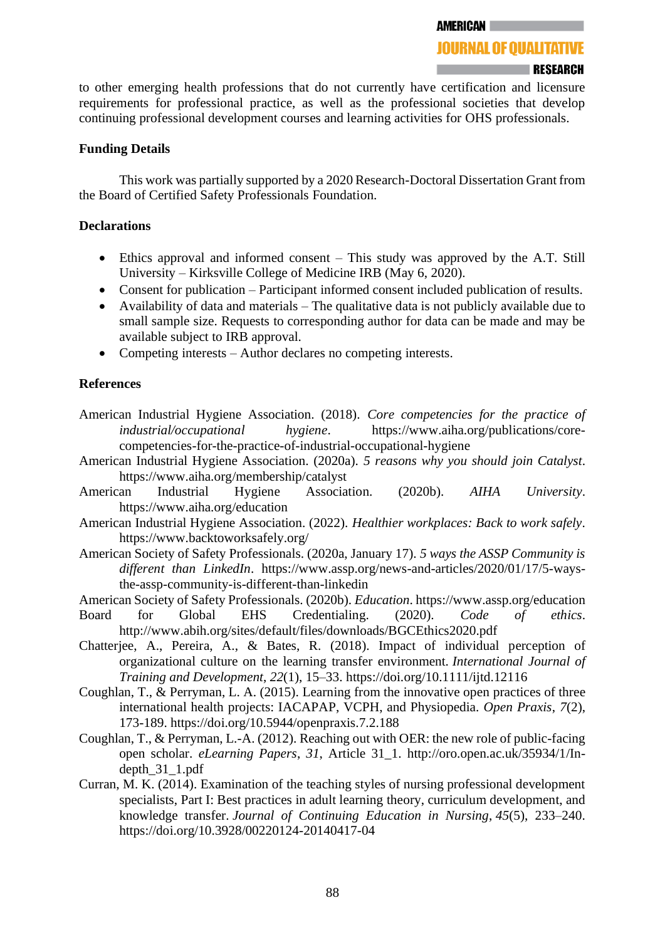#### **RESEARCH**

to other emerging health professions that do not currently have certification and licensure requirements for professional practice, as well as the professional societies that develop continuing professional development courses and learning activities for OHS professionals.

### **Funding Details**

This work was partially supported by a 2020 Research-Doctoral Dissertation Grant from the Board of Certified Safety Professionals Foundation.

### **Declarations**

- Ethics approval and informed consent This study was approved by the A.T. Still University – Kirksville College of Medicine IRB (May 6, 2020).
- Consent for publication Participant informed consent included publication of results.
- Availability of data and materials The qualitative data is not publicly available due to small sample size. Requests to corresponding author for data can be made and may be available subject to IRB approval.
- Competing interests Author declares no competing interests.

# **References**

- American Industrial Hygiene Association. (2018). *Core competencies for the practice of industrial/occupational hygiene*. https://www.aiha.org/publications/corecompetencies-for-the-practice-of-industrial-occupational-hygiene
- American Industrial Hygiene Association. (2020a). *5 reasons why you should join Catalyst*. https://www.aiha.org/membership/catalyst
- American Industrial Hygiene Association. (2020b). *AIHA University*. https://www.aiha.org/education
- American Industrial Hygiene Association. (2022). *Healthier workplaces: Back to work safely*. https://www.backtoworksafely.org/
- American Society of Safety Professionals. (2020a, January 17). *5 ways the ASSP Community is different than LinkedIn*. https://www.assp.org/news-and-articles/2020/01/17/5-waysthe-assp-community-is-different-than-linkedin
- American Society of Safety Professionals. (2020b). *Education*. https://www.assp.org/education
- Board for Global EHS Credentialing. (2020). *Code of ethics*. http://www.abih.org/sites/default/files/downloads/BGCEthics2020.pdf
- Chatterjee, A., Pereira, A., & Bates, R. (2018). Impact of individual perception of organizational culture on the learning transfer environment. *International Journal of Training and Development*, *22*(1), 15–33. https://doi.org/10.1111/ijtd.12116
- Coughlan, T., & Perryman, L. A. (2015). Learning from the innovative open practices of three international health projects: IACAPAP, VCPH, and Physiopedia. *Open Praxis*, *7*(2), 173-189. https://doi.org/10.5944/openpraxis.7.2.188
- Coughlan, T., & Perryman, L.-A. (2012). Reaching out with OER: the new role of public-facing open scholar. *eLearning Papers*, *31*, Article 31\_1. http://oro.open.ac.uk/35934/1/Indepth\_31\_1.pdf
- Curran, M. K. (2014). Examination of the teaching styles of nursing professional development specialists, Part I: Best practices in adult learning theory, curriculum development, and knowledge transfer. *Journal of Continuing Education in Nursing*, *45*(5), 233–240. https://doi.org/10.3928/00220124-20140417-04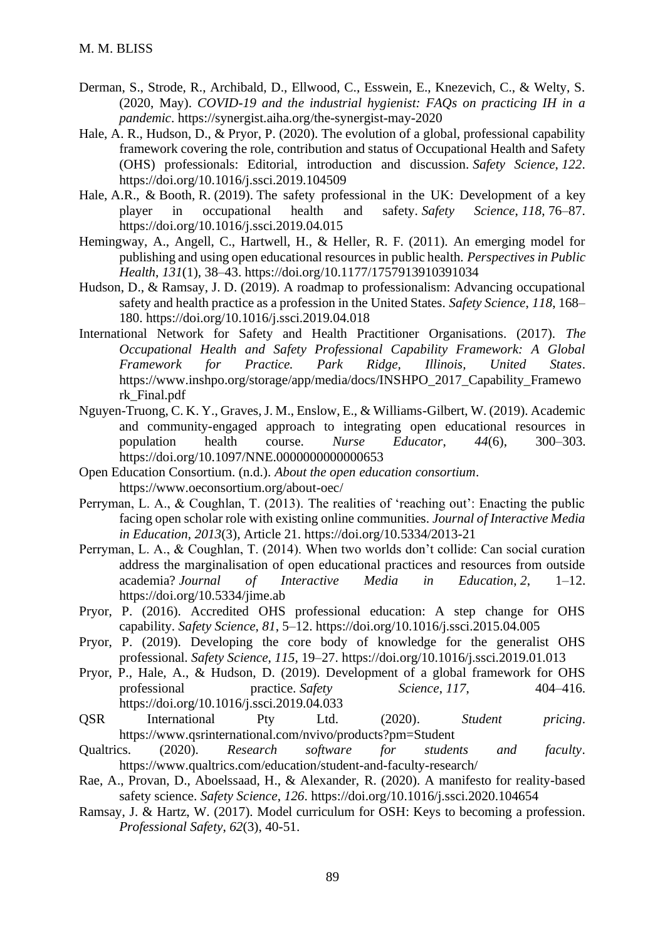- Derman, S., Strode, R., Archibald, D., Ellwood, C., Esswein, E., Knezevich, C., & Welty, S. (2020, May). *COVID-19 and the industrial hygienist: FAQs on practicing IH in a pandemic*. https://synergist.aiha.org/the-synergist-may-2020
- Hale, A. R., Hudson, D., & Pryor, P. (2020). The evolution of a global, professional capability framework covering the role, contribution and status of Occupational Health and Safety (OHS) professionals: Editorial, introduction and discussion. *Safety Science*, *122*. https://doi.org/10.1016/j.ssci.2019.104509
- Hale, A.R., & Booth, R. (2019). The safety professional in the UK: Development of a key player in occupational health and safety. *Safety Science*, *118*, 76–87. https://doi.org/10.1016/j.ssci.2019.04.015
- Hemingway, A., Angell, C., Hartwell, H., & Heller, R. F. (2011). An emerging model for publishing and using open educational resources in public health. *Perspectives in Public Health*, *131*(1), 38–43. https://doi.org/10.1177/1757913910391034
- Hudson, D., & Ramsay, J. D. (2019). A roadmap to professionalism: Advancing occupational safety and health practice as a profession in the United States. *Safety Science*, *118*, 168– 180. https://doi.org/10.1016/j.ssci.2019.04.018
- International Network for Safety and Health Practitioner Organisations. (2017). *The Occupational Health and Safety Professional Capability Framework: A Global Framework for Practice. Park Ridge, Illinois, United States*. https://www.inshpo.org/storage/app/media/docs/INSHPO\_2017\_Capability\_Framewo rk\_Final.pdf
- Nguyen-Truong, C. K. Y., Graves, J. M., Enslow, E., & Williams-Gilbert, W. (2019). Academic and community-engaged approach to integrating open educational resources in population health course. *Nurse Educator*, *44*(6), 300–303. https://doi.org/10.1097/NNE.0000000000000653
- Open Education Consortium. (n.d.). *About the open education consortium*. https://www.oeconsortium.org/about-oec/
- Perryman, L. A., & Coughlan, T. (2013). The realities of 'reaching out': Enacting the public facing open scholar role with existing online communities. *Journal of Interactive Media in Education*, *2013*(3), Article 21. https://doi.org/10.5334/2013-21
- Perryman, L. A., & Coughlan, T. (2014). When two worlds don't collide: Can social curation address the marginalisation of open educational practices and resources from outside academia? *Journal of Interactive Media in Education*, *2*, 1–12. https://doi.org/10.5334/jime.ab
- Pryor, P. (2016). Accredited OHS professional education: A step change for OHS capability. *Safety Science*, *81*, 5–12. https://doi.org/10.1016/j.ssci.2015.04.005
- Pryor, P. (2019). Developing the core body of knowledge for the generalist OHS professional. *Safety Science*, *115*, 19–27. https://doi.org/10.1016/j.ssci.2019.01.013
- Pryor, P., Hale, A., & Hudson, D. (2019). Development of a global framework for OHS professional practice. *Safety Science*, *117*, 404–416. https://doi.org/10.1016/j.ssci.2019.04.033
- QSR International Pty Ltd. (2020). *Student pricing*. https://www.qsrinternational.com/nvivo/products?pm=Student
- Qualtrics. (2020). *Research software for students and faculty*. https://www.qualtrics.com/education/student-and-faculty-research/
- Rae, A., Provan, D., Aboelssaad, H., & Alexander, R. (2020). A manifesto for reality-based safety science. *Safety Science*, *126*. https://doi.org/10.1016/j.ssci.2020.104654
- Ramsay, J. & Hartz, W. (2017). Model curriculum for OSH: Keys to becoming a profession. *Professional Safety*, *62*(3), 40-51.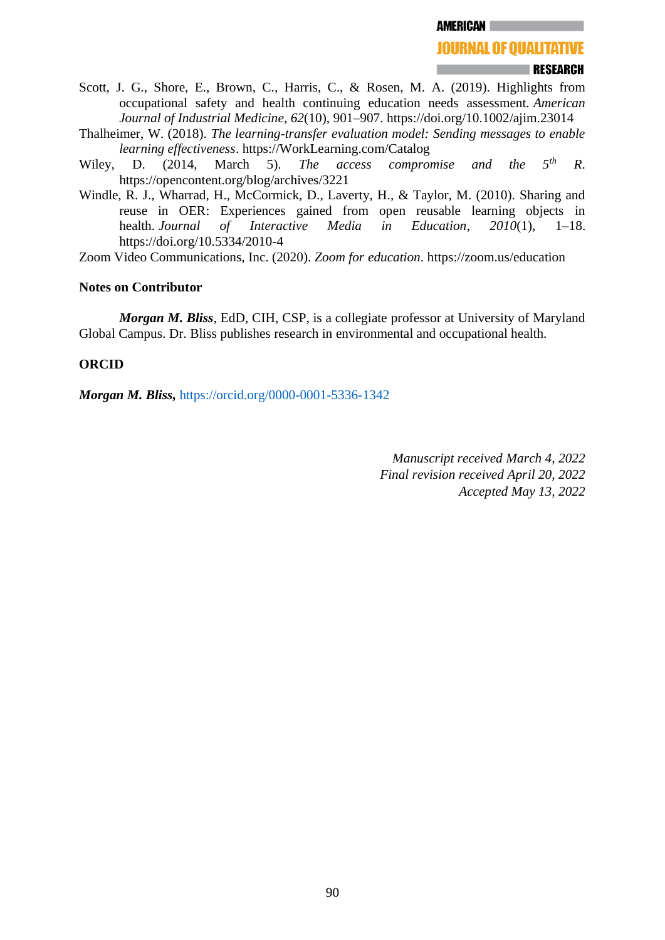**AMERICAN** 

#### **RESEARCH**

- Scott, J. G., Shore, E., Brown, C., Harris, C., & Rosen, M. A. (2019). Highlights from occupational safety and health continuing education needs assessment. *American Journal of Industrial Medicine*, *62*(10), 901–907. https://doi.org/10.1002/ajim.23014
- Thalheimer, W. (2018). *The learning-transfer evaluation model: Sending messages to enable learning effectiveness*. https://WorkLearning.com/Catalog
- Wiley, D. (2014, March 5). *The access compromise and the 5th R*. https://opencontent.org/blog/archives/3221
- Windle, R. J., Wharrad, H., McCormick, D., Laverty, H., & Taylor, M. (2010). Sharing and reuse in OER: Experiences gained from open reusable learning objects in health. *Journal of Interactive Media in Education*, *2010*(1), 1–18. https://doi.org/10.5334/2010-4

Zoom Video Communications, Inc. (2020). *Zoom for education*. https://zoom.us/education

### **Notes on Contributor**

*Morgan M. Bliss*, EdD, CIH, CSP, is a collegiate professor at University of Maryland Global Campus. Dr. Bliss publishes research in environmental and occupational health.

### **ORCID**

*Morgan M. Bliss,* <https://orcid.org/0000-0001-5336-1342>

*Manuscript received March 4, 2022 Final revision received April 20, 2022 Accepted May 13, 2022*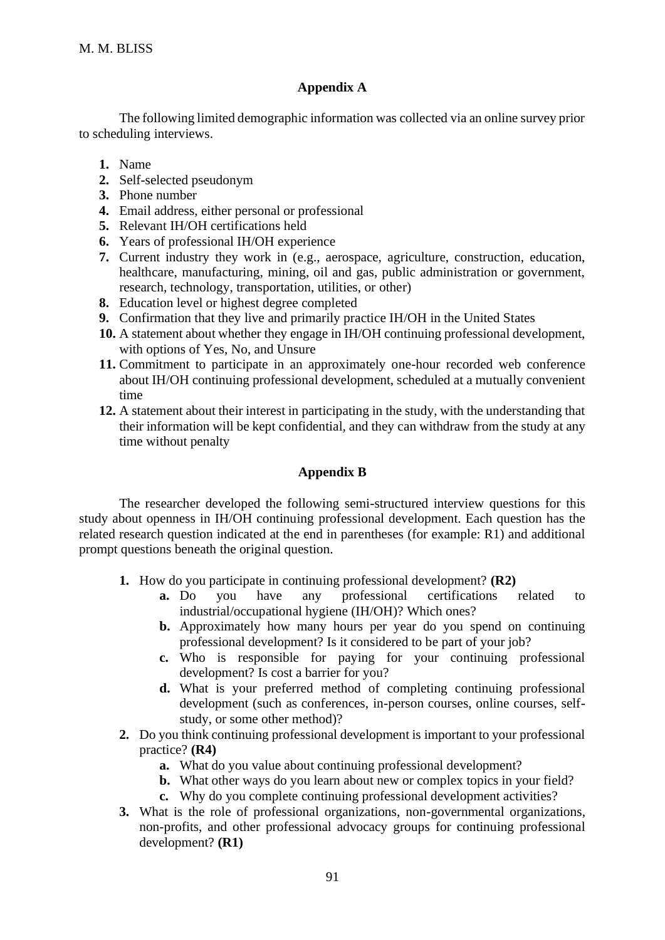# **Appendix A**

The following limited demographic information was collected via an online survey prior to scheduling interviews.

- **1.** Name
- **2.** Self-selected pseudonym
- **3.** Phone number
- **4.** Email address, either personal or professional
- **5.** Relevant IH/OH certifications held
- **6.** Years of professional IH/OH experience
- **7.** Current industry they work in (e.g., aerospace, agriculture, construction, education, healthcare, manufacturing, mining, oil and gas, public administration or government, research, technology, transportation, utilities, or other)
- **8.** Education level or highest degree completed
- **9.** Confirmation that they live and primarily practice IH/OH in the United States
- **10.** A statement about whether they engage in IH/OH continuing professional development, with options of Yes, No, and Unsure
- **11.** Commitment to participate in an approximately one-hour recorded web conference about IH/OH continuing professional development, scheduled at a mutually convenient time
- **12.** A statement about their interest in participating in the study, with the understanding that their information will be kept confidential, and they can withdraw from the study at any time without penalty

# **Appendix B**

The researcher developed the following semi-structured interview questions for this study about openness in IH/OH continuing professional development. Each question has the related research question indicated at the end in parentheses (for example: R1) and additional prompt questions beneath the original question.

- **1.** How do you participate in continuing professional development? **(R2)**
	- **a.** Do you have any professional certifications related to industrial/occupational hygiene (IH/OH)? Which ones?
	- **b.** Approximately how many hours per year do you spend on continuing professional development? Is it considered to be part of your job?
	- **c.** Who is responsible for paying for your continuing professional development? Is cost a barrier for you?
	- **d.** What is your preferred method of completing continuing professional development (such as conferences, in-person courses, online courses, selfstudy, or some other method)?
- **2.** Do you think continuing professional development is important to your professional practice? **(R4)**
	- **a.** What do you value about continuing professional development?
	- **b.** What other ways do you learn about new or complex topics in your field?
	- **c.** Why do you complete continuing professional development activities?
- **3.** What is the role of professional organizations, non-governmental organizations, non-profits, and other professional advocacy groups for continuing professional development? **(R1)**